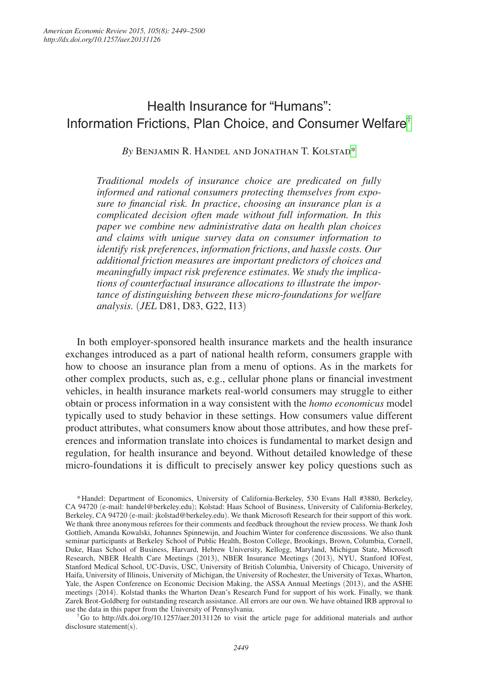# Health Insurance for "Humans": Information Frictions, Plan Choice, and Consumer Welfare[†](#page-0-0)

*By* Benjamin R. Handel and Jonathan T. Kolstad[\\*](#page-0-1)

*Traditional models of insurance choice are predicated on fully informed and rational consumers protecting themselves from exposure to financial risk. In practice*, *choosing an insurance plan is a complicated decision often made without full information. In this paper we combine new administrative data on health plan choices and claims with unique survey data on consumer information to identify risk preferences*, *information frictions*, *and hassle costs. Our additional friction measures are important predictors of choices and meaningfully impact risk preference estimates. We study the implications of counterfactual insurance allocations to illustrate the importance of distinguishing between these micro-foundations for welfare analysis.* (*JEL* D81, D83, G22, I13)

In both employer-sponsored health insurance markets and the health insurance exchanges introduced as a part of national health reform, consumers grapple with how to choose an insurance plan from a menu of options. As in the markets for other complex products, such as, e.g., cellular phone plans or financial investment vehicles, in health insurance markets real-world consumers may struggle to either obtain or process information in a way consistent with the *homo economicus* model typically used to study behavior in these settings. How consumers value different product attributes, what consumers know about those attributes, and how these preferences and information translate into choices is fundamental to market design and regulation, for health insurance and beyond. Without detailed knowledge of these micro-foundations it is difficult to precisely answer key policy questions such as

<span id="page-0-0"></span>†Go to http://dx.doi.org/10.1257/aer.20131126 to visit the article page for additional materials and author disclosure statement(s).

<span id="page-0-1"></span><sup>\*</sup>Handel: Department of Economics, University of California-Berkeley, 530 Evans Hall #3880, Berkeley, CA 94720 (e-mail: handel@berkeley.edu); Kolstad: Haas School of Business, University of California-Berkeley, Berkeley, CA 94720 (e-mail: jkolstad@berkeley.edu). We thank Microsoft Research for their support of this work. We thank three anonymous referees for their comments and feedback throughout the review process. We thank Josh Gottlieb, Amanda Kowalski, Johannes Spinnewijn, and Joachim Winter for conference discussions. We also thank seminar participants at Berkeley School of Public Health, Boston College, Brookings, Brown, Columbia, Cornell, Duke, Haas School of Business, Harvard, Hebrew University, Kellogg, Maryland, Michigan State, Microsoft Research, NBER Health Care Meetings (2013), NBER Insurance Meetings (2013), NYU, Stanford IOFest, Stanford Medical School, UC-Davis, USC, University of British Columbia, University of Chicago, University of Haifa, University of Illinois, University of Michigan, the University of Rochester, the University of Texas, Wharton, Yale, the Aspen Conference on Economic Decision Making, the ASSA Annual Meetings (2013), and the ASHE meetings (2014). Kolstad thanks the Wharton Dean's Research Fund for support of his work. Finally, we thank Zarek Brot-Goldberg for outstanding research assistance. All errors are our own. We have obtained IRB approval to use the data in this paper from the University of Pennsylvania.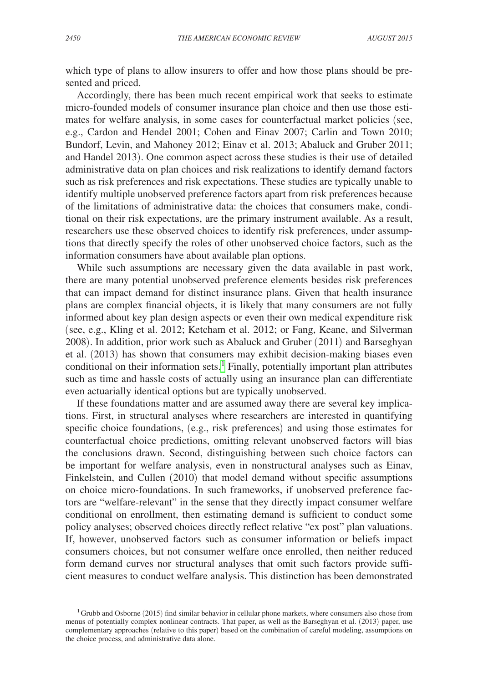which type of plans to allow insurers to offer and how those plans should be presented and priced.

Accordingly, there has been much recent empirical work that seeks to estimate micro-founded models of consumer insurance plan choice and then use those estimates for welfare analysis, in some cases for counterfactual market policies (see, e.g., Cardon and Hendel 2001; Cohen and Einav 2007; Carlin and Town 2010; Bundorf, Levin, and Mahoney 2012; Einav et al. 2013; Abaluck and Gruber 2011; and Handel 2013). One common aspect across these studies is their use of detailed administrative data on plan choices and risk realizations to identify demand factors such as risk preferences and risk expectations. These studies are typically unable to identify multiple unobserved preference factors apart from risk preferences because of the limitations of administrative data: the choices that consumers make, conditional on their risk expectations, are the primary instrument available. As a result, researchers use these observed choices to identify risk preferences, under assumptions that directly specify the roles of other unobserved choice factors, such as the information consumers have about available plan options.

While such assumptions are necessary given the data available in past work, there are many potential unobserved preference elements besides risk preferences that can impact demand for distinct insurance plans. Given that health insurance plans are complex financial objects, it is likely that many consumers are not fully informed about key plan design aspects or even their own medical expenditure risk (see, e.g., Kling et al. 2012; Ketcham et al. 2012; or Fang, Keane, and Silverman 2008). In addition, prior work such as Abaluck and Gruber (2011) and Barseghyan et al. (2013) has shown that consumers may exhibit decision-making biases even conditional on their information sets.<sup>[1](#page-1-0)</sup> Finally, potentially important plan attributes such as time and hassle costs of actually using an insurance plan can differentiate even actuarially identical options but are typically unobserved.

If these foundations matter and are assumed away there are several key implications. First, in structural analyses where researchers are interested in quantifying specific choice foundations, (e.g., risk preferences) and using those estimates for counterfactual choice predictions, omitting relevant unobserved factors will bias the conclusions drawn. Second, distinguishing between such choice factors can be important for welfare analysis, even in nonstructural analyses such as Einav, Finkelstein, and Cullen (2010) that model demand without specific assumptions on choice micro-foundations. In such frameworks, if unobserved preference factors are "welfare-relevant" in the sense that they directly impact consumer welfare conditional on enrollment, then estimating demand is sufficient to conduct some policy analyses; observed choices directly reflect relative "ex post" plan valuations. If, however, unobserved factors such as consumer information or beliefs impact consumers choices, but not consumer welfare once enrolled, then neither reduced form demand curves nor structural analyses that omit such factors provide sufficient measures to conduct welfare analysis. This distinction has been demonstrated

<span id="page-1-0"></span><sup>&</sup>lt;sup>1</sup>Grubb and Osborne (2015) find similar behavior in cellular phone markets, where consumers also chose from menus of potentially complex nonlinear contracts. That paper, as well as the Barseghyan et al. (2013) paper, use complementary approaches (relative to this paper) based on the combination of careful modeling, assumptions on the choice process, and administrative data alone.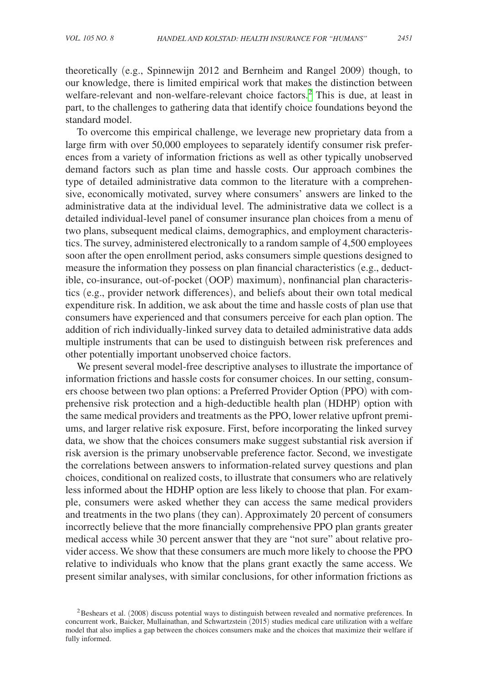theoretically (e.g., Spinnewijn 2012 and Bernheim and Rangel 2009) though, to our knowledge, there is limited empirical work that makes the distinction between welfare-relevant and non-welfare-relevant choice factors.<sup>[2](#page-2-0)</sup> This is due, at least in part, to the challenges to gathering data that identify choice foundations beyond the standard model.

To overcome this empirical challenge, we leverage new proprietary data from a large firm with over 50,000 employees to separately identify consumer risk preferences from a variety of information frictions as well as other typically unobserved demand factors such as plan time and hassle costs. Our approach combines the type of detailed administrative data common to the literature with a comprehensive, economically motivated, survey where consumers' answers are linked to the administrative data at the individual level. The administrative data we collect is a detailed individual-level panel of consumer insurance plan choices from a menu of two plans, subsequent medical claims, demographics, and employment characteristics. The survey, administered electronically to a random sample of 4,500 employees soon after the open enrollment period, asks consumers simple questions designed to measure the information they possess on plan financial characteristics (e.g., deductible, co-insurance, out-of-pocket (OOP) maximum), nonfinancial plan characteristics (e.g., provider network differences), and beliefs about their own total medical expenditure risk. In addition, we ask about the time and hassle costs of plan use that consumers have experienced and that consumers perceive for each plan option. The addition of rich individually-linked survey data to detailed administrative data adds multiple instruments that can be used to distinguish between risk preferences and other potentially important unobserved choice factors.

We present several model-free descriptive analyses to illustrate the importance of information frictions and hassle costs for consumer choices. In our setting, consumers choose between two plan options: a Preferred Provider Option (PPO) with comprehensive risk protection and a high-deductible health plan (HDHP) option with the same medical providers and treatments as the PPO, lower relative upfront premiums, and larger relative risk exposure. First, before incorporating the linked survey data, we show that the choices consumers make suggest substantial risk aversion if risk aversion is the primary unobservable preference factor. Second, we investigate the correlations between answers to information-related survey questions and plan choices, conditional on realized costs, to illustrate that consumers who are relatively less informed about the HDHP option are less likely to choose that plan. For example, consumers were asked whether they can access the same medical providers and treatments in the two plans (they can). Approximately 20 percent of consumers incorrectly believe that the more financially comprehensive PPO plan grants greater medical access while 30 percent answer that they are "not sure" about relative provider access. We show that these consumers are much more likely to choose the PPO relative to individuals who know that the plans grant exactly the same access. We present similar analyses, with similar conclusions, for other information frictions as

<span id="page-2-0"></span><sup>&</sup>lt;sup>2</sup>Beshears et al. (2008) discuss potential ways to distinguish between revealed and normative preferences. In concurrent work, Baicker, Mullainathan, and Schwartzstein (2015) studies medical care utilization with a welfare model that also implies a gap between the choices consumers make and the choices that maximize their welfare if fully informed.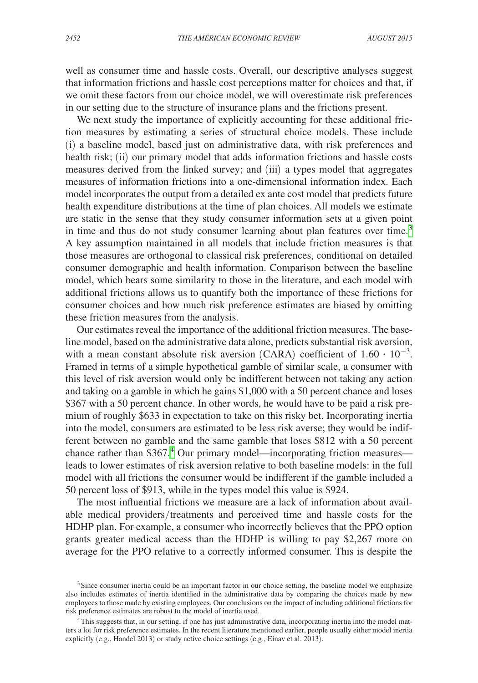well as consumer time and hassle costs. Overall, our descriptive analyses suggest that information frictions and hassle cost perceptions matter for choices and that, if we omit these factors from our choice model, we will overestimate risk preferences in our setting due to the structure of insurance plans and the frictions present.

We next study the importance of explicitly accounting for these additional friction measures by estimating a series of structural choice models. These include (i) a baseline model, based just on administrative data, with risk preferences and health risk; (ii) our primary model that adds information frictions and hassle costs measures derived from the linked survey; and (iii) a types model that aggregates measures of information frictions into a one-dimensional information index. Each model incorporates the output from a detailed ex ante cost model that predicts future health expenditure distributions at the time of plan choices. All models we estimate are static in the sense that they study consumer information sets at a given point in time and thus do not study consumer learning about plan features over time.<sup>[3](#page-3-0)</sup> A key assumption maintained in all models that include friction measures is that those measures are orthogonal to classical risk preferences, conditional on detailed consumer demographic and health information. Comparison between the baseline model, which bears some similarity to those in the literature, and each model with additional frictions allows us to quantify both the importance of these frictions for consumer choices and how much risk preference estimates are biased by omitting these friction measures from the analysis.

Our estimates reveal the importance of the additional friction measures. The baseline model, based on the administrative data alone, predicts substantial risk aversion, with a mean constant absolute risk aversion (CARA) coefficient of  $1.60 \cdot 10^{-3}$ . Framed in terms of a simple hypothetical gamble of similar scale, a consumer with this level of risk aversion would only be indifferent between not taking any action and taking on a gamble in which he gains \$1,000 with a 50 percent chance and loses \$367 with a 50 percent chance. In other words, he would have to be paid a risk premium of roughly \$633 in expectation to take on this risky bet. Incorporating inertia into the model, consumers are estimated to be less risk averse; they would be indifferent between no gamble and the same gamble that loses \$812 with a 50 percent chance rather than \$367.<sup>4</sup> Our primary model—incorporating friction measures leads to lower estimates of risk aversion relative to both baseline models: in the full model with all frictions the consumer would be indifferent if the gamble included a 50 percent loss of \$913, while in the types model this value is \$924.

The most influential frictions we measure are a lack of information about available medical providers/treatments and perceived time and hassle costs for the HDHP plan. For example, a consumer who incorrectly believes that the PPO option grants greater medical access than the HDHP is willing to pay \$2,267 more on average for the PPO relative to a correctly informed consumer. This is despite the

<span id="page-3-0"></span><sup>&</sup>lt;sup>3</sup>Since consumer inertia could be an important factor in our choice setting, the baseline model we emphasize also includes estimates of inertia identified in the administrative data by comparing the choices made by new employees to those made by existing employees. Our conclusions on the impact of including additional frictions for risk preference estimates are robust to the model of inertia used.

<span id="page-3-1"></span><sup>4</sup>This suggests that, in our setting, if one has just administrative data, incorporating inertia into the model matters a lot for risk preference estimates. In the recent literature mentioned earlier, people usually either model inertia explicitly (e.g., Handel 2013) or study active choice settings (e.g., Einav et al. 2013).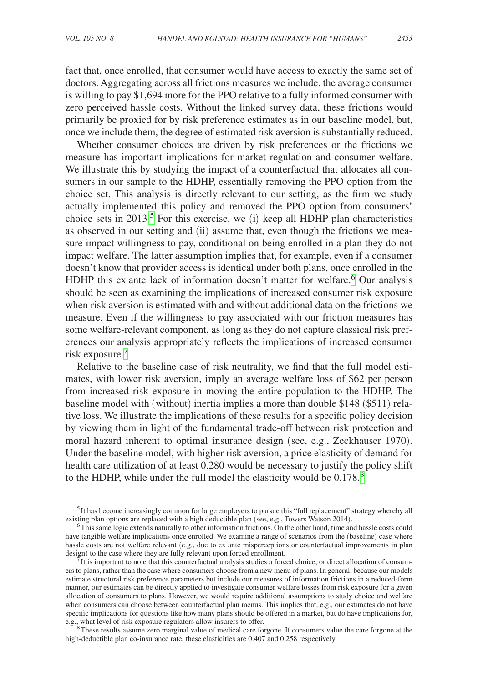fact that, once enrolled, that consumer would have access to exactly the same set of doctors. Aggregating across all frictions measures we include, the average consumer is willing to pay \$1,694 more for the PPO relative to a fully informed consumer with zero perceived hassle costs. Without the linked survey data, these frictions would primarily be proxied for by risk preference estimates as in our baseline model, but, once we include them, the degree of estimated risk aversion is substantially reduced.

Whether consumer choices are driven by risk preferences or the frictions we measure has important implications for market regulation and consumer welfare. We illustrate this by studying the impact of a counterfactual that allocates all consumers in our sample to the HDHP, essentially removing the PPO option from the choice set. This analysis is directly relevant to our setting, as the firm we study actually implemented this policy and removed the PPO option from consumers' choice sets in 2013.<sup>[5](#page-4-0)</sup> For this exercise, we (i) keep all HDHP plan characteristics as observed in our setting and (ii) assume that, even though the frictions we measure impact willingness to pay, conditional on being enrolled in a plan they do not impact welfare. The latter assumption implies that, for example, even if a consumer doesn't know that provider access is identical under both plans, once enrolled in the HDHP this ex ante lack of information doesn't matter for welfare.<sup>6</sup> Our analysis should be seen as examining the implications of increased consumer risk exposure when risk aversion is estimated with and without additional data on the frictions we measure. Even if the willingness to pay associated with our friction measures has some welfare-relevant component, as long as they do not capture classical risk preferences our analysis appropriately reflects the implications of increased consumer risk exposure.[7](#page-4-2)

Relative to the baseline case of risk neutrality, we find that the full model estimates, with lower risk aversion, imply an average welfare loss of \$62 per person from increased risk exposure in moving the entire population to the HDHP. The baseline model with (without) inertia implies a more than double \$148 (\$511) relative loss. We illustrate the implications of these results for a specific policy decision by viewing them in light of the fundamental trade-off between risk protection and moral hazard inherent to optimal insurance design (see, e.g., Zeckhauser 1970). Under the baseline model, with higher risk aversion, a price elasticity of demand for health care utilization of at least 0.280 would be necessary to justify the policy shift to the HDHP, while under the full model the elasticity would be 0.17[8](#page-4-3).<sup>8</sup>

<span id="page-4-2"></span>It is important to note that this counterfactual analysis studies a forced choice, or direct allocation of consumers to plans, rather than the case where consumers choose from a new menu of plans. In general, because our models estimate structural risk preference parameters but include our measures of information frictions in a reduced-form manner, our estimates can be directly applied to investigate consumer welfare losses from risk exposure for a given allocation of consumers to plans. However, we would require additional assumptions to study choice and welfare when consumers can choose between counterfactual plan menus. This implies that, e.g., our estimates do not have specific implications for questions like how many plans should be offered in a market, but do have implications for, e.g., what level of risk exposure regulators allow insurers to offer.

<span id="page-4-3"></span><sup>8</sup>These results assume zero marginal value of medical care forgone. If consumers value the care forgone at the high-deductible plan co-insurance rate, these elasticities are 0.407 and 0.258 respectively.

<span id="page-4-0"></span> $<sup>5</sup>$ It has become increasingly common for large employers to pursue this "full replacement" strategy whereby all existing plan options are replaced with a high deductible plan (see, e.g., Towers Watson 2014).</sup>

<span id="page-4-1"></span> $6$ This same logic extends naturally to other information frictions. On the other hand, time and hassle costs could have tangible welfare implications once enrolled. We examine a range of scenarios from the (baseline) case where hassle costs are not welfare relevant (e.g., due to ex ante misperceptions or counterfactual improvements in plan design) to the case where they are fully relevant upon forced enrollment.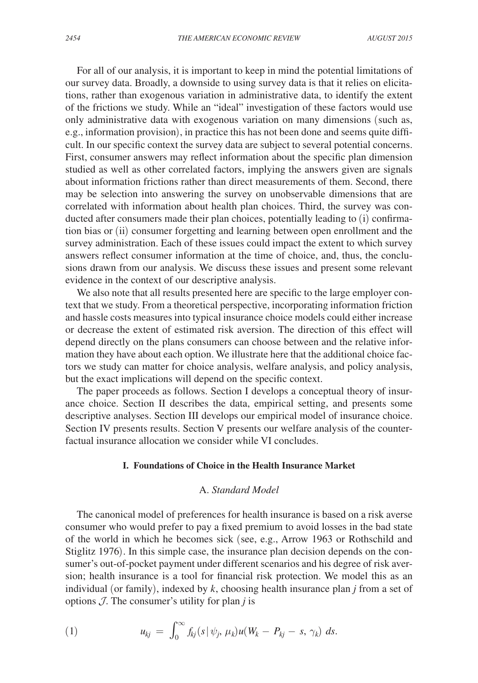For all of our analysis, it is important to keep in mind the potential limitations of our survey data. Broadly, a downside to using survey data is that it relies on elicitations, rather than exogenous variation in administrative data, to identify the extent of the frictions we study. While an "ideal" investigation of these factors would use only administrative data with exogenous variation on many dimensions (such as, e.g., information provision), in practice this has not been done and seems quite difficult. In our specific context the survey data are subject to several potential concerns. First, consumer answers may reflect information about the specific plan dimension studied as well as other correlated factors, implying the answers given are signals about information frictions rather than direct measurements of them. Second, there may be selection into answering the survey on unobservable dimensions that are correlated with information about health plan choices. Third, the survey was conducted after consumers made their plan choices, potentially leading to (i) confirmation bias or (ii) consumer forgetting and learning between open enrollment and the survey administration. Each of these issues could impact the extent to which survey answers reflect consumer information at the time of choice, and, thus, the conclusions drawn from our analysis. We discuss these issues and present some relevant evidence in the context of our descriptive analysis.

We also note that all results presented here are specific to the large employer context that we study. From a theoretical perspective, incorporating information friction and hassle costs measures into typical insurance choice models could either increase or decrease the extent of estimated risk aversion. The direction of this effect will depend directly on the plans consumers can choose between and the relative information they have about each option. We illustrate here that the additional choice factors we study can matter for choice analysis, welfare analysis, and policy analysis, but the exact implications will depend on the specific context.

The paper proceeds as follows. Section I develops a conceptual theory of insurance choice. Section II describes the data, empirical setting, and presents some descriptive analyses. Section III develops our empirical model of insurance choice. Section IV presents results. Section V presents our welfare analysis of the counterfactual insurance allocation we consider while VI concludes.

#### **I. Foundations of Choice in the Health Insurance Market**

#### A. *Standard Model*

The canonical model of preferences for health insurance is based on a risk averse consumer who would prefer to pay a fixed premium to avoid losses in the bad state of the world in which he becomes sick (see, e.g., Arrow 1963 or Rothschild and Stiglitz 1976). In this simple case, the insurance plan decision depends on the consumer's out-of-pocket payment under different scenarios and his degree of risk aversion; health insurance is a tool for financial risk protection. We model this as an individual (or family), indexed by *k*, choosing health insurance plan *j* from a set of options  $J$ . The consumer's utility for plan *j* is

(1) 
$$
u_{kj} = \int_0^\infty f_{kj}(s|\psi_j, \mu_k)u(W_k - P_{kj} - s, \gamma_k) ds.
$$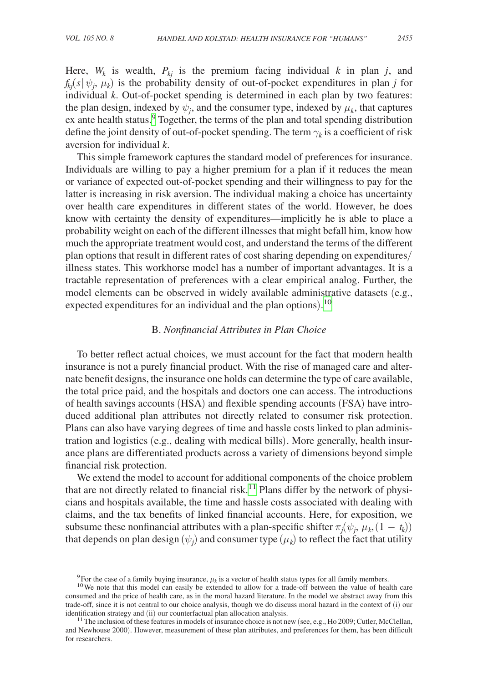Here,  $W_k$  is wealth,  $P_{ki}$  is the premium facing individual  $k$  in plan  $j$ , and  $f_{kj}(s | \psi_j, \mu_k)$  is the probability density of out-of-pocket expenditures in plan *j* for individual *k*. Out-of-pocket spending is determined in each plan by two features: the plan design, indexed by  $\psi_i$ , and the consumer type, indexed by  $\mu_k$ , that captures ex ante health status.<sup>[9](#page-6-0)</sup> Together, the terms of the plan and total spending distribution define the joint density of out-of-pocket spending. The term  $\gamma_k$  is a coefficient of risk aversion for individual *k*.

This simple framework captures the standard model of preferences for insurance. Individuals are willing to pay a higher premium for a plan if it reduces the mean or variance of expected out-of-pocket spending and their willingness to pay for the latter is increasing in risk aversion. The individual making a choice has uncertainty over health care expenditures in different states of the world. However, he does know with certainty the density of expenditures—implicitly he is able to place a probability weight on each of the different illnesses that might befall him, know how much the appropriate treatment would cost, and understand the terms of the different plan options that result in different rates of cost sharing depending on expenditures/ illness states. This workhorse model has a number of important advantages. It is a tractable representation of preferences with a clear empirical analog. Further, the model elements can be observed in widely available administrative datasets (e.g., expected expenditures for an individual and the plan options).<sup>[10](#page-6-1)</sup>

#### B. *Nonfinancial Attributes in Plan Choice*

To better reflect actual choices, we must account for the fact that modern health insurance is not a purely financial product. With the rise of managed care and alternate benefit designs, the insurance one holds can determine the type of care available, the total price paid, and the hospitals and doctors one can access. The introductions of health savings accounts (HSA) and flexible spending accounts (FSA) have introduced additional plan attributes not directly related to consumer risk protection. Plans can also have varying degrees of time and hassle costs linked to plan administration and logistics (e.g., dealing with medical bills). More generally, health insurance plans are differentiated products across a variety of dimensions beyond simple financial risk protection.

We extend the model to account for additional components of the choice problem that are not directly related to financial risk.<sup>11</sup> Plans differ by the network of physicians and hospitals available, the time and hassle costs associated with dealing with claims, and the tax benefits of linked financial accounts. Here, for exposition, we subsume these nonfinancial attributes with a plan-specific shifter  $\pi_j(\psi_j, \mu_k, (1 - t_k))$ that depends on plan design  $(\psi_j)$  and consumer type  $(\mu_k)$  to reflect the fact that utility

<span id="page-6-1"></span><span id="page-6-0"></span>

<sup>&</sup>lt;sup>9</sup>For the case of a family buying insurance,  $\mu_k$  is a vector of health status types for all family members. <sup>10</sup>We note that this model can easily be extended to allow for a trade-off between the value of health care consumed and the price of health care, as in the moral hazard literature. In the model we abstract away from this trade-off, since it is not central to our choice analysis, though we do discuss moral hazard in the context of (i) our identification strategy and (ii) our counterfactual plan allocation analysis.

<span id="page-6-2"></span><sup>&</sup>lt;sup>11</sup> The inclusion of these features in models of insurance choice is not new (see, e.g., Ho 2009; Cutler, McClellan, and Newhouse 2000). However, measurement of these plan attributes, and preferences for them, has been difficult for researchers.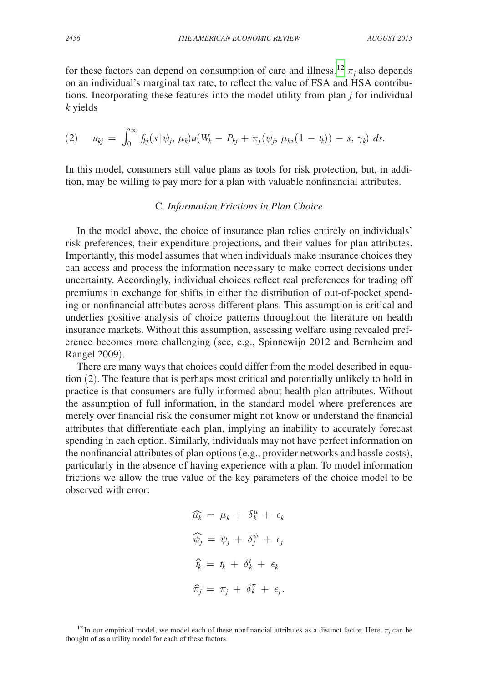for these factors can depend on consumption of care and illness.<sup>[12](#page-7-0)</sup>  $\pi_j$  also depends on an individual's marginal tax rate, to reflect the value of FSA and HSA contributions. Incorporating these features into the model utility from plan *j* for individual *k* yields

$$
(2) \t u_{kj} = \int_0^\infty f_{kj}(s|\psi_j, \mu_k)u(W_k - P_{kj} + \pi_j(\psi_j, \mu_k, (1 - t_k)) - s, \gamma_k) ds.
$$

In this model, consumers still value plans as tools for risk protection, but, in addition, may be willing to pay more for a plan with valuable nonfinancial attributes.

#### C. *Information Frictions in Plan Choice*

In the model above, the choice of insurance plan relies entirely on individuals' risk preferences, their expenditure projections, and their values for plan attributes. Importantly, this model assumes that when individuals make insurance choices they can access and process the information necessary to make correct decisions under uncertainty. Accordingly, individual choices reflect real preferences for trading off premiums in exchange for shifts in either the distribution of out-of-pocket spending or nonfinancial attributes across different plans. This assumption is critical and underlies positive analysis of choice patterns throughout the literature on health insurance markets. Without this assumption, assessing welfare using revealed preference becomes more challenging (see, e.g., Spinnewijn 2012 and Bernheim and Rangel 2009).

There are many ways that choices could differ from the model described in equation (2). The feature that is perhaps most critical and potentially unlikely to hold in practice is that consumers are fully informed about health plan attributes. Without the assumption of full information, in the standard model where preferences are merely over financial risk the consumer might not know or understand the financial attributes that differentiate each plan, implying an inability to accurately forecast spending in each option. Similarly, individuals may not have perfect information on the nonfinancial attributes of plan options (e.g., provider networks and hassle costs), particularly in the absence of having experience with a plan. To model information frictions we allow the true value of the key parameters of the choice model to be observed with error:

$$
\widehat{\mu_k} = \mu_k + \delta_k^{\mu} + \epsilon_k
$$
  

$$
\widehat{\psi}_j = \psi_j + \delta_j^{\psi} + \epsilon_j
$$
  

$$
\widehat{\tau}_k = t_k + \delta_k^{\tau} + \epsilon_k
$$
  

$$
\widehat{\pi}_j = \pi_j + \delta_k^{\pi} + \epsilon_j.
$$

<span id="page-7-0"></span><sup>&</sup>lt;sup>12</sup>In our empirical model, we model each of these nonfinancial attributes as a distinct factor. Here,  $\pi_j$  can be thought of as a utility model for each of these factors.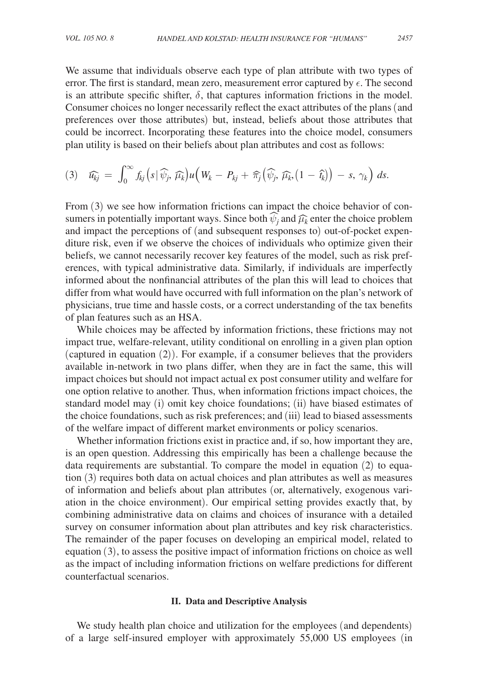We assume that individuals observe each type of plan attribute with two types of error. The first is standard, mean zero, measurement error captured by  $\epsilon$ . The second

is an attribute specific shifter,  $\delta$ , that captures information frictions in the model. Consumer choices no longer necessarily reflect the exact attributes of the plans (and preferences over those attributes) but, instead, beliefs about those attributes that could be incorrect. Incorporating these features into the choice model, consumers plan utility is based on their beliefs about plan attributes and cost as follows:

$$
(3) \quad \widehat{u_{kj}} = \int_0^\infty f_{kj} \left( s \, | \, \widehat{\psi_j}, \, \widehat{\mu_k} \right) u \left( W_k - P_{kj} + \widehat{\pi}_j \left( \widehat{\psi_j}, \, \widehat{\mu_k}, \left( 1 - \widehat{t_k} \right) \right) - s, \, \gamma_k \right) \, ds.
$$

From  $(3)$  we see how information frictions can impact the choice behavior of consumers in potentially important ways. Since both  $\widehat{\psi}_j$  and  $\widehat{\mu}_k$  enter the choice problem and impact the perceptions of (and subsequent responses to) out-of-pocket expenditure risk, even if we observe the choices of individuals who optimize given their beliefs, we cannot necessarily recover key features of the model, such as risk preferences, with typical administrative data. Similarly, if individuals are imperfectly informed about the nonfinancial attributes of the plan this will lead to choices that differ from what would have occurred with full information on the plan's network of physicians, true time and hassle costs, or a correct understanding of the tax benefits of plan features such as an HSA.

While choices may be affected by information frictions, these frictions may not impact true, welfare-relevant, utility conditional on enrolling in a given plan option (captured in equation (2)). For example, if a consumer believes that the providers available in-network in two plans differ, when they are in fact the same, this will impact choices but should not impact actual ex post consumer utility and welfare for one option relative to another. Thus, when information frictions impact choices, the standard model may (i) omit key choice foundations; (ii) have biased estimates of the choice foundations, such as risk preferences; and (iii) lead to biased assessments of the welfare impact of different market environments or policy scenarios.

Whether information frictions exist in practice and, if so, how important they are, is an open question. Addressing this empirically has been a challenge because the data requirements are substantial. To compare the model in equation  $(2)$  to equation (3) requires both data on actual choices and plan attributes as well as measures of information and beliefs about plan attributes (or, alternatively, exogenous variation in the choice environment). Our empirical setting provides exactly that, by combining administrative data on claims and choices of insurance with a detailed survey on consumer information about plan attributes and key risk characteristics. The remainder of the paper focuses on developing an empirical model, related to equation (3), to assess the positive impact of information frictions on choice as well as the impact of including information frictions on welfare predictions for different counterfactual scenarios.

#### **II. Data and Descriptive Analysis**

We study health plan choice and utilization for the employees (and dependents) of a large self-insured employer with approximately 55,000 US employees (in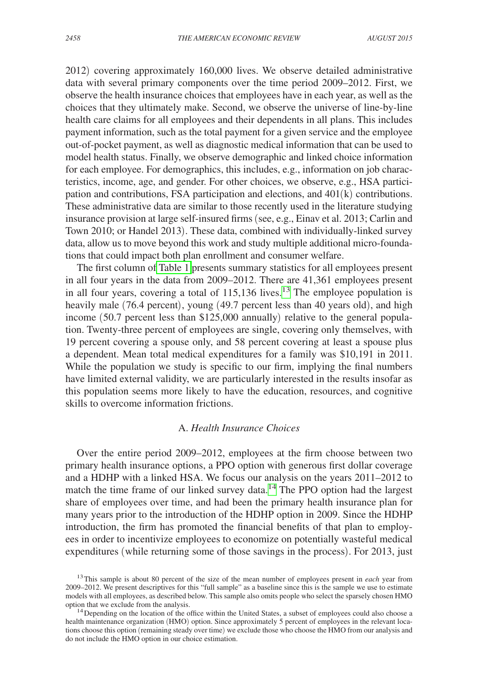2012) covering approximately 160,000 lives. We observe detailed administrative data with several primary components over the time period 2009–2012. First, we observe the health insurance choices that employees have in each year, as well as the choices that they ultimately make. Second, we observe the universe of line-by-line health care claims for all employees and their dependents in all plans. This includes payment information, such as the total payment for a given service and the employee out-of-pocket payment, as well as diagnostic medical information that can be used to model health status. Finally, we observe demographic and linked choice information for each employee. For demographics, this includes, e.g., information on job characteristics, income, age, and gender. For other choices, we observe, e.g., HSA participation and contributions, FSA participation and elections, and 401(k) contributions. These administrative data are similar to those recently used in the literature studying insurance provision at large self-insured firms (see, e.g., Einav et al. 2013; Carlin and Town 2010; or Handel 2013). These data, combined with individually-linked survey data, allow us to move beyond this work and study multiple additional micro-foundations that could impact both plan enrollment and consumer welfare.

The first column o[f Table 1](#page-10-0) presents summary statistics for all employees present in all four years in the data from 2009–2012. There are 41,361 employees present in all four years, covering a total of 115,[13](#page-9-0)6 lives.<sup>13</sup> The employee population is heavily male (76.4 percent), young (49.7 percent less than 40 years old), and high income (50.7 percent less than \$125,000 annually) relative to the general population. Twenty-three percent of employees are single, covering only themselves, with 19 percent covering a spouse only, and 58 percent covering at least a spouse plus a dependent. Mean total medical expenditures for a family was \$10,191 in 2011. While the population we study is specific to our firm, implying the final numbers have limited external validity, we are particularly interested in the results insofar as this population seems more likely to have the education, resources, and cognitive skills to overcome information frictions.

#### A. *Health Insurance Choices*

Over the entire period 2009–2012, employees at the firm choose between two primary health insurance options, a PPO option with generous first dollar coverage and a HDHP with a linked HSA. We focus our analysis on the years 2011–2012 to match the time frame of our linked survey data.<sup>[14](#page-9-1)</sup> The PPO option had the largest share of employees over time, and had been the primary health insurance plan for many years prior to the introduction of the HDHP option in 2009. Since the HDHP introduction, the firm has promoted the financial benefits of that plan to employees in order to incentivize employees to economize on potentially wasteful medical expenditures (while returning some of those savings in the process). For 2013, just

<span id="page-9-0"></span><sup>13</sup>This sample is about 80 percent of the size of the mean number of employees present in *each* year from 2009–2012. We present descriptives for this "full sample" as a baseline since this is the sample we use to estimate models with all employees, as described below. This sample also omits people who select the sparsely chosen HMO option that we exclude from the analysis.<br><sup>14</sup>Depending on the location of the office within the United States, a subset of employees could also choose a

<span id="page-9-1"></span>health maintenance organization (HMO) option. Since approximately 5 percent of employees in the relevant locations choose this option (remaining steady over time) we exclude those who choose the HMO from our analysis and do not include the HMO option in our choice estimation.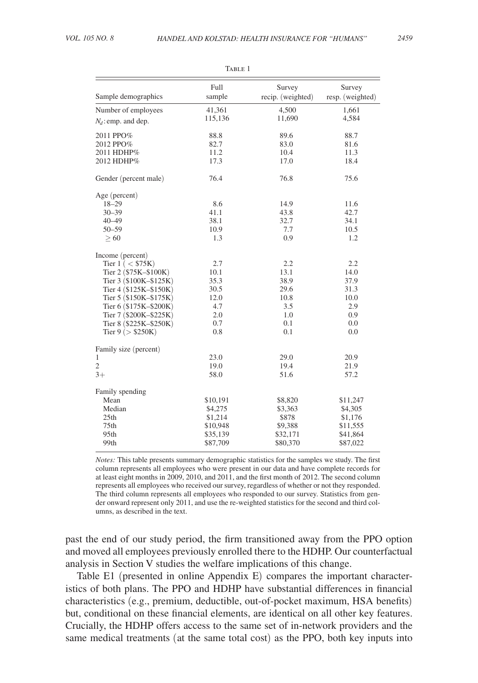<span id="page-10-0"></span>

| Sample demographics       | Full<br>sample | Survey<br>recip. (weighted) | Survey<br>resp. (weighted) |
|---------------------------|----------------|-----------------------------|----------------------------|
| Number of employees       | 41,361         | 4,500                       | 1,661                      |
| $N_d$ : emp. and dep.     | 115,136        | 11,690                      | 4,584                      |
|                           |                |                             |                            |
| 2011 PPO%                 | 88.8           | 89.6                        | 88.7                       |
| 2012 PPO%                 | 82.7           | 83.0                        | 81.6                       |
| 2011 HDHP%                | 11.2           | 10.4                        | 11.3                       |
| 2012 HDHP%                | 17.3           | 17.0                        | 18.4                       |
| Gender (percent male)     | 76.4           | 76.8                        | 75.6                       |
| Age (percent)             |                |                             |                            |
| $18 - 29$                 | 8.6            | 14.9                        | 11.6                       |
| $30 - 39$                 | 41.1           | 43.8                        | 42.7                       |
| $40 - 49$                 | 38.1           | 32.7                        | 34.1                       |
| $50 - 59$                 | 10.9           | 7.7                         | 10.5                       |
| >60                       | 1.3            | 0.9                         | 1.2                        |
| Income (percent)          |                |                             |                            |
| Tier $1$ ( $\rm <$ \$75K) | 2.7            | 2.2                         | 2.2                        |
| Tier 2 (\$75K-\$100K)     | 10.1           | 13.1                        | 14.0                       |
| Tier 3 (\$100K-\$125K)    | 35.3           | 38.9                        | 37.9                       |
| Tier 4 (\$125K-\$150K)    | 30.5           | 29.6                        | 31.3                       |
| Tier 5 (\$150K-\$175K)    | 12.0           | 10.8                        | 10.0                       |
| Tier 6 (\$175K-\$200K)    | 4.7            | 3.5                         | 2.9                        |
| Tier 7 (\$200K-\$225K)    | 2.0            | 1.0                         | 0.9                        |
| Tier 8 (\$225K-\$250K)    | 0.7            | 0.1                         | 0.0                        |
| Tier $9$ ( $>$ \$250K)    | 0.8            | 0.1                         | 0.0                        |
| Family size (percent)     |                |                             |                            |
| 1                         | 23.0           | 29.0                        | 20.9                       |
| $\overline{c}$            | 19.0           | 19.4                        | 21.9                       |
| $3+$                      | 58.0           | 51.6                        | 57.2                       |
| Family spending           |                |                             |                            |
| Mean                      | \$10,191       | \$8,820                     | \$11,247                   |
| Median                    | \$4,275        | \$3,363                     | \$4,305                    |
| 25th                      | \$1,214        | \$878                       | \$1,176                    |
| 75th                      | \$10,948       | \$9,388                     | \$11,555                   |
| 95th                      | \$35,139       | \$32,171                    | \$41,864                   |
| 99th                      | \$87,709       | \$80,370                    | \$87,022                   |

|--|

*Notes:* This table presents summary demographic statistics for the samples we study. The first column represents all employees who were present in our data and have complete records for at least eight months in 2009, 2010, and 2011, and the first month of 2012. The second column represents all employees who received our survey, regardless of whether or not they responded. The third column represents all employees who responded to our survey. Statistics from gender onward represent only 2011, and use the re-weighted statistics for the second and third columns, as described in the text.

past the end of our study period, the firm transitioned away from the PPO option and moved all employees previously enrolled there to the HDHP. Our counterfactual analysis in Section V studies the welfare implications of this change.

Table E1 (presented in online Appendix E) compares the important characteristics of both plans. The PPO and HDHP have substantial differences in financial characteristics (e.g., premium, deductible, out-of-pocket maximum, HSA benefits) but, conditional on these financial elements, are identical on all other key features. Crucially, the HDHP offers access to the same set of in-network providers and the same medical treatments (at the same total cost) as the PPO, both key inputs into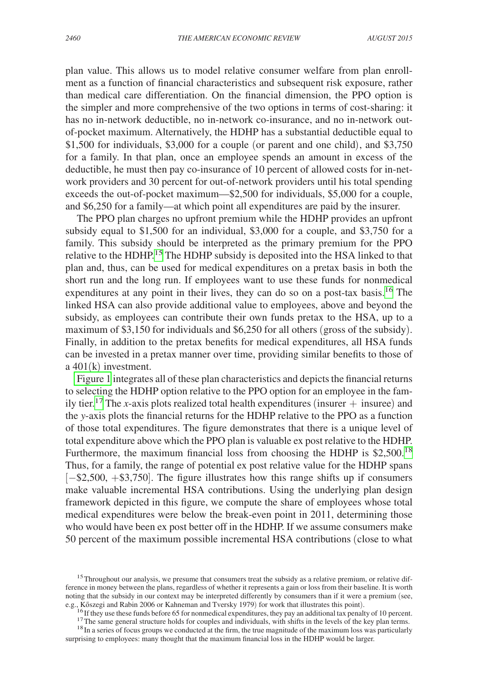plan value. This allows us to model relative consumer welfare from plan enrollment as a function of financial characteristics and subsequent risk exposure, rather than medical care differentiation. On the financial dimension, the PPO option is the simpler and more comprehensive of the two options in terms of cost-sharing: it has no in-network deductible, no in-network co-insurance, and no in-network outof-pocket maximum. Alternatively, the HDHP has a substantial deductible equal to \$1,500 for individuals, \$3,000 for a couple (or parent and one child), and \$3,750 for a family. In that plan, once an employee spends an amount in excess of the deductible, he must then pay co-insurance of 10 percent of allowed costs for in-network providers and 30 percent for out-of-network providers until his total spending exceeds the out-of-pocket maximum—\$2,500 for individuals, \$5,000 for a couple, and \$6,250 for a family—at which point all expenditures are paid by the insurer.

The PPO plan charges no upfront premium while the HDHP provides an upfront subsidy equal to \$1,500 for an individual, \$3,000 for a couple, and \$3,750 for a family. This subsidy should be interpreted as the primary premium for the PPO relative to the HDHP.[15](#page-11-0) The HDHP subsidy is deposited into the HSA linked to that plan and, thus, can be used for medical expenditures on a pretax basis in both the short run and the long run. If employees want to use these funds for nonmedical expenditures at any point in their lives, they can do so on a post-tax basis.<sup>[16](#page-11-1)</sup> The linked HSA can also provide additional value to employees, above and beyond the subsidy, as employees can contribute their own funds pretax to the HSA, up to a maximum of \$3,150 for individuals and \$6,250 for all others (gross of the subsidy). Finally, in addition to the pretax benefits for medical expenditures, all HSA funds can be invested in a pretax manner over time, providing similar benefits to those of a 401(k) investment.

[Figure 1](#page-12-0) integrates all of these plan characteristics and depicts the financial returns to selecting the HDHP option relative to the PPO option for an employee in the family tier.<sup>17</sup> The *x*-axis plots realized total health expenditures (insurer  $+$  insuree) and the *y*-axis plots the financial returns for the HDHP relative to the PPO as a function of those total expenditures. The figure demonstrates that there is a unique level of total expenditure above which the PPO plan is valuable ex post relative to the HDHP. Furthermore, the maximum financial loss from choosing the HDHP is  $$2,500$ .<sup>18</sup> Thus, for a family, the range of potential ex post relative value for the HDHP spans [−\$2,500, +\$3,750]. The figure illustrates how this range shifts up if consumers make valuable incremental HSA contributions. Using the underlying plan design framework depicted in this figure, we compute the share of employees whose total medical expenditures were below the break-even point in 2011, determining those who would have been ex post better off in the HDHP. If we assume consumers make 50 percent of the maximum possible incremental HSA contributions (close to what

<span id="page-11-0"></span><sup>&</sup>lt;sup>15</sup>Throughout our analysis, we presume that consumers treat the subsidy as a relative premium, or relative difference in money between the plans, regardless of whether it represents a gain or loss from their baseline. It is worth noting that the subsidy in our context may be interpreted differently by consumers than if it were a premium (see, e.g., Kőszegi and Rabin 2006 or Kahneman and Tversky 1979) for work that illustrates this point).

<span id="page-11-1"></span>

<span id="page-11-3"></span><span id="page-11-2"></span>

<sup>&</sup>lt;sup>16</sup> If they use these funds before 65 for nonmedical expenditures, they pay an additional tax penalty of 10 percent.<br><sup>17</sup> The same general structure holds for couples and individuals, with shifts in the levels of the key surprising to employees: many thought that the maximum financial loss in the HDHP would be larger.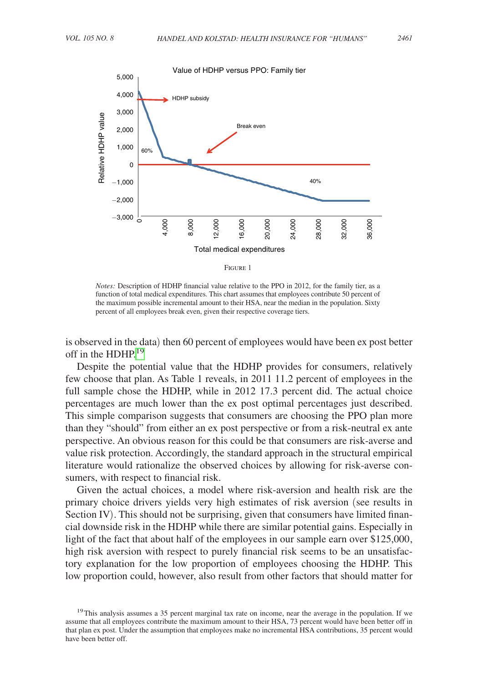<span id="page-12-0"></span>

|--|--|

*Notes:* Description of HDHP financial value relative to the PPO in 2012, for the family tier, as a function of total medical expenditures. This chart assumes that employees contribute 50 percent of the maximum possible incremental amount to their HSA, near the median in the population. Sixty percent of all employees break even, given their respective coverage tiers.

is observed in the data) then 60 percent of employees would have been ex post better off in the HDHP.<sup>[19](#page-12-1)</sup>

Despite the potential value that the HDHP provides for consumers, relatively few choose that plan. As Table 1 reveals, in 2011 11.2 percent of employees in the full sample chose the HDHP, while in 2012 17.3 percent did. The actual choice percentages are much lower than the ex post optimal percentages just described. This simple comparison suggests that consumers are choosing the PPO plan more than they "should" from either an ex post perspective or from a risk-neutral ex ante perspective. An obvious reason for this could be that consumers are risk-averse and value risk protection. Accordingly, the standard approach in the structural empirical literature would rationalize the observed choices by allowing for risk-averse consumers, with respect to financial risk.

Given the actual choices, a model where risk-aversion and health risk are the primary choice drivers yields very high estimates of risk aversion (see results in Section IV). This should not be surprising, given that consumers have limited financial downside risk in the HDHP while there are similar potential gains. Especially in light of the fact that about half of the employees in our sample earn over \$125,000, high risk aversion with respect to purely financial risk seems to be an unsatisfactory explanation for the low proportion of employees choosing the HDHP. This low proportion could, however, also result from other factors that should matter for

<span id="page-12-1"></span><sup>&</sup>lt;sup>19</sup>This analysis assumes a 35 percent marginal tax rate on income, near the average in the population. If we assume that all employees contribute the maximum amount to their HSA, 73 percent would have been better off in that plan ex post. Under the assumption that employees make no incremental HSA contributions, 35 percent would have been better off.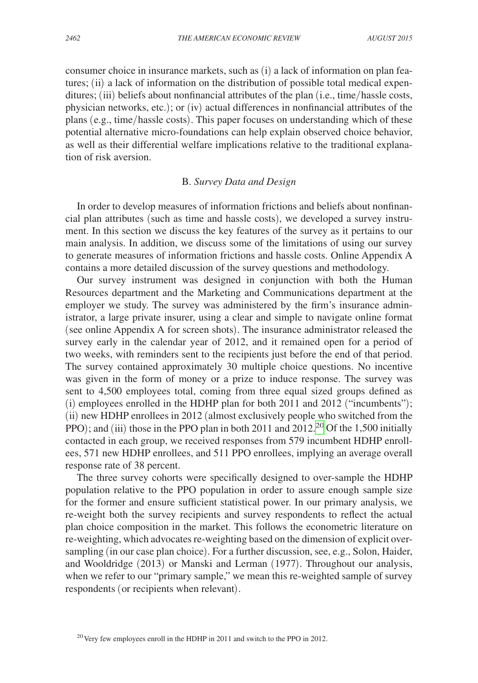consumer choice in insurance markets, such as (i) a lack of information on plan features; (ii) a lack of information on the distribution of possible total medical expenditures; (iii) beliefs about nonfinancial attributes of the plan (i.e., time/hassle costs, physician networks, etc.); or (iv) actual differences in nonfinancial attributes of the plans (e.g., time/hassle costs). This paper focuses on understanding which of these potential alternative micro-foundations can help explain observed choice behavior, as well as their differential welfare implications relative to the traditional explanation of risk aversion.

#### B. *Survey Data and Design*

In order to develop measures of information frictions and beliefs about nonfinancial plan attributes (such as time and hassle costs), we developed a survey instrument. In this section we discuss the key features of the survey as it pertains to our main analysis. In addition, we discuss some of the limitations of using our survey to generate measures of information frictions and hassle costs. Online Appendix A contains a more detailed discussion of the survey questions and methodology.

Our survey instrument was designed in conjunction with both the Human Resources department and the Marketing and Communications department at the employer we study. The survey was administered by the firm's insurance administrator, a large private insurer, using a clear and simple to navigate online format (see online Appendix A for screen shots). The insurance administrator released the survey early in the calendar year of 2012, and it remained open for a period of two weeks, with reminders sent to the recipients just before the end of that period. The survey contained approximately 30 multiple choice questions. No incentive was given in the form of money or a prize to induce response. The survey was sent to 4,500 employees total, coming from three equal sized groups defined as (i) employees enrolled in the HDHP plan for both 2011 and 2012 ("incumbents"); (ii) new HDHP enrollees in 2012 (almost exclusively people who switched from the PPO); and (iii) those in the PPO plan in both 2011 and  $2012<sup>20</sup>$  Of the 1,500 initially contacted in each group, we received responses from 579 incumbent HDHP enrollees, 571 new HDHP enrollees, and 511 PPO enrollees, implying an average overall response rate of 38 percent.

The three survey cohorts were specifically designed to over-sample the HDHP population relative to the PPO population in order to assure enough sample size for the former and ensure sufficient statistical power. In our primary analysis, we re-weight both the survey recipients and survey respondents to reflect the actual plan choice composition in the market. This follows the econometric literature on re-weighting, which advocates re-weighting based on the dimension of explicit oversampling (in our case plan choice). For a further discussion, see, e.g., Solon, Haider, and Wooldridge (2013) or Manski and Lerman (1977). Throughout our analysis, when we refer to our "primary sample," we mean this re-weighted sample of survey respondents (or recipients when relevant).

<span id="page-13-0"></span><sup>&</sup>lt;sup>20</sup> Very few employees enroll in the HDHP in 2011 and switch to the PPO in 2012.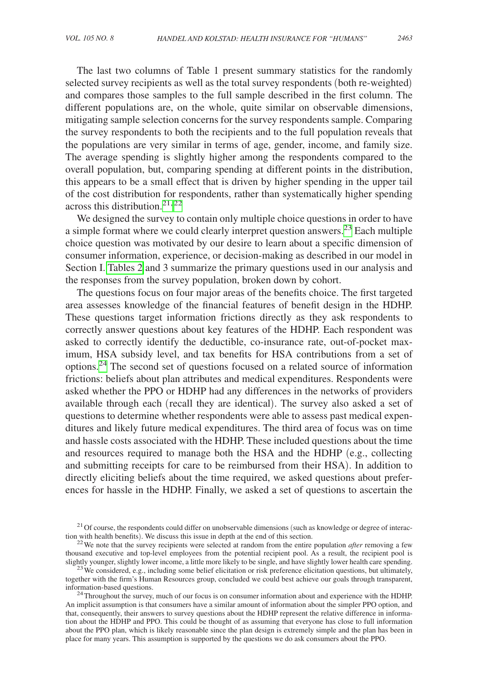The last two columns of Table 1 present summary statistics for the randomly selected survey recipients as well as the total survey respondents (both re-weighted) and compares those samples to the full sample described in the first column. The different populations are, on the whole, quite similar on observable dimensions, mitigating sample selection concerns for the survey respondents sample. Comparing the survey respondents to both the recipients and to the full population reveals that the populations are very similar in terms of age, gender, income, and family size. The average spending is slightly higher among the respondents compared to the overall population, but, comparing spending at different points in the distribution, this appears to be a small effect that is driven by higher spending in the upper tail of the cost distribution for respondents, rather than systematically higher spending across this distribution.<sup>[21,](#page-14-0)[22](#page-14-1)</sup>

We designed the survey to contain only multiple choice questions in order to have a simple format where we could clearly interpret question answers.<sup>23</sup> Each multiple choice question was motivated by our desire to learn about a specific dimension of consumer information, experience, or decision-making as described in our model in Section I. [Tables 2](#page-15-0) and 3 summarize the primary questions used in our analysis and the responses from the survey population, broken down by cohort.

The questions focus on four major areas of the benefits choice. The first targeted area assesses knowledge of the financial features of benefit design in the HDHP. These questions target information frictions directly as they ask respondents to correctly answer questions about key features of the HDHP. Each respondent was asked to correctly identify the deductible, co-insurance rate, out-of-pocket maximum, HSA subsidy level, and tax benefits for HSA contributions from a set of options[.24](#page-14-3) The second set of questions focused on a related source of information frictions: beliefs about plan attributes and medical expenditures. Respondents were asked whether the PPO or HDHP had any differences in the networks of providers available through each (recall they are identical). The survey also asked a set of questions to determine whether respondents were able to assess past medical expenditures and likely future medical expenditures. The third area of focus was on time and hassle costs associated with the HDHP. These included questions about the time and resources required to manage both the HSA and the HDHP (e.g., collecting and submitting receipts for care to be reimbursed from their HSA). In addition to directly eliciting beliefs about the time required, we asked questions about preferences for hassle in the HDHP. Finally, we asked a set of questions to ascertain the

<span id="page-14-0"></span><sup>&</sup>lt;sup>21</sup> Of course, the respondents could differ on unobservable dimensions (such as knowledge or degree of interaction with health benefits). We discuss this issue in depth at the end of this section.

<span id="page-14-1"></span><sup>&</sup>lt;sup>22</sup>We note that the survey recipients were selected at random from the entire population *after* removing a few thousand executive and top-level employees from the potential recipient pool. As a result, the recipient pool is slightly younger, slightly lower income, a little more likely to be single, and have slightly lower health ca

<span id="page-14-2"></span><sup>&</sup>lt;sup>23</sup> We considered, e.g., including some belief elicitation or risk preference elicitation questions, but ultimately, together with the firm's Human Resources group, concluded we could best achieve our goals through transparent,

<span id="page-14-3"></span><sup>&</sup>lt;sup>24</sup>Throughout the survey, much of our focus is on consumer information about and experience with the HDHP. An implicit assumption is that consumers have a similar amount of information about the simpler PPO option, and that, consequently, their answers to survey questions about the HDHP represent the relative difference in information about the HDHP and PPO. This could be thought of as assuming that everyone has close to full information about the PPO plan, which is likely reasonable since the plan design is extremely simple and the plan has been in place for many years. This assumption is supported by the questions we do ask consumers about the PPO.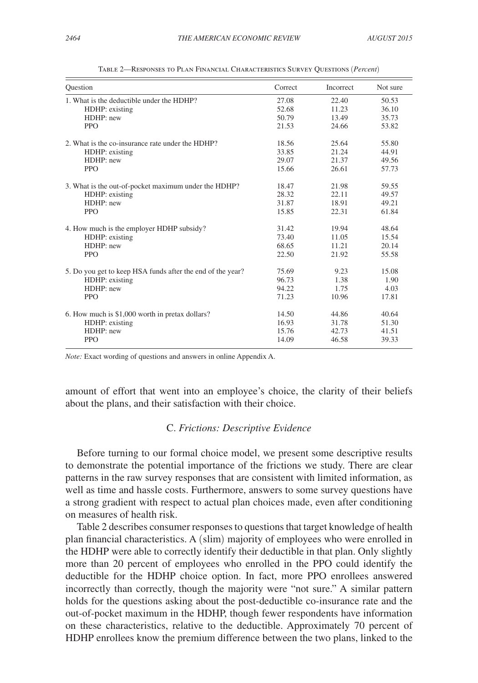<span id="page-15-0"></span>

| Ouestion                                                   | Correct | <b>Incorrect</b> | Not sure |
|------------------------------------------------------------|---------|------------------|----------|
| 1. What is the deductible under the HDHP?                  | 27.08   | 22.40            | 50.53    |
| HDHP: existing                                             | 52.68   | 11.23            | 36.10    |
| HDHP: new                                                  | 50.79   | 13.49            | 35.73    |
| <b>PPO</b>                                                 | 21.53   | 24.66            | 53.82    |
| 2. What is the co-insurance rate under the HDHP?           | 18.56   | 25.64            | 55.80    |
| HDHP: existing                                             | 33.85   | 21.24            | 44.91    |
| HDHP: new                                                  | 29.07   | 21.37            | 49.56    |
| <b>PPO</b>                                                 | 15.66   | 26.61            | 57.73    |
| 3. What is the out-of-pocket maximum under the HDHP?       | 18.47   | 21.98            | 59.55    |
| HDHP: existing                                             | 28.32   | 22.11            | 49.57    |
| HDHP: new                                                  | 31.87   | 18.91            | 49.21    |
| <b>PPO</b>                                                 | 15.85   | 22.31            | 61.84    |
| 4. How much is the employer HDHP subsidy?                  | 31.42   | 19.94            | 48.64    |
| HDHP: existing                                             | 73.40   | 11.05            | 15.54    |
| HDHP: new                                                  | 68.65   | 11.21            | 20.14    |
| <b>PPO</b>                                                 | 22.50   | 21.92            | 55.58    |
| 5. Do you get to keep HSA funds after the end of the year? | 75.69   | 9.23             | 15.08    |
| HDHP: existing                                             | 96.73   | 1.38             | 1.90     |
| HDHP: new                                                  | 94.22   | 1.75             | 4.03     |
| <b>PPO</b>                                                 | 71.23   | 10.96            | 17.81    |
| 6. How much is \$1,000 worth in pretax dollars?            | 14.50   | 44.86            | 40.64    |
| HDHP: existing                                             | 16.93   | 31.78            | 51.30    |
| HDHP: new                                                  | 15.76   | 42.73            | 41.51    |
| <b>PPO</b>                                                 | 14.09   | 46.58            | 39.33    |

Table 2—Responses to Plan Financial Characteristics Survey Questions (*Percent*)

*Note:* Exact wording of questions and answers in online Appendix A.

amount of effort that went into an employee's choice, the clarity of their beliefs about the plans, and their satisfaction with their choice.

#### C. *Frictions: Descriptive Evidence*

Before turning to our formal choice model, we present some descriptive results to demonstrate the potential importance of the frictions we study. There are clear patterns in the raw survey responses that are consistent with limited information, as well as time and hassle costs. Furthermore, answers to some survey questions have a strong gradient with respect to actual plan choices made, even after conditioning on measures of health risk.

Table 2 describes consumer responses to questions that target knowledge of health plan financial characteristics. A (slim) majority of employees who were enrolled in the HDHP were able to correctly identify their deductible in that plan. Only slightly more than 20 percent of employees who enrolled in the PPO could identify the deductible for the HDHP choice option. In fact, more PPO enrollees answered incorrectly than correctly, though the majority were "not sure." A similar pattern holds for the questions asking about the post-deductible co-insurance rate and the out-of-pocket maximum in the HDHP, though fewer respondents have information on these characteristics, relative to the deductible. Approximately 70 percent of HDHP enrollees know the premium difference between the two plans, linked to the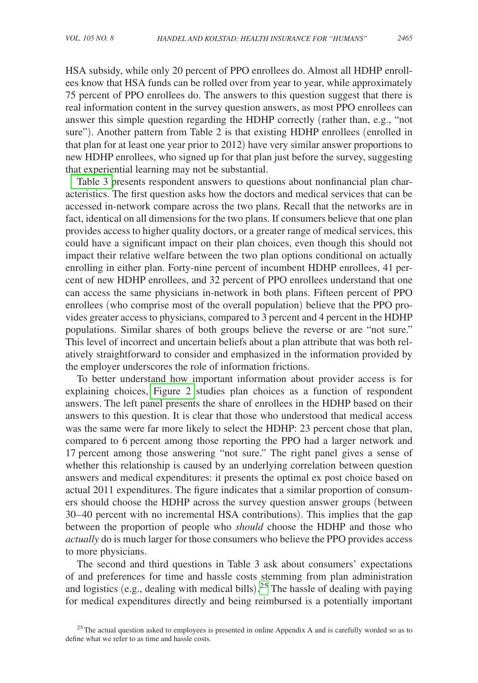HSA subsidy, while only 20 percent of PPO enrollees do. Almost all HDHP enrollees know that HSA funds can be rolled over from year to year, while approximately 75 percent of PPO enrollees do. The answers to this question suggest that there is real information content in the survey question answers, as most PPO enrollees can answer this simple question regarding the HDHP correctly (rather than, e.g., "not sure"). Another pattern from Table 2 is that existing HDHP enrollees (enrolled in that plan for at least one year prior to 2012) have very similar answer proportions to new HDHP enrollees, who signed up for that plan just before the survey, suggesting that experiential learning may not be substantial.

[Table 3 p](#page-17-0)resents respondent answers to questions about nonfinancial plan characteristics. The first question asks how the doctors and medical services that can be accessed in-network compare across the two plans. Recall that the networks are in fact, identical on all dimensions for the two plans. If consumers believe that one plan provides access to higher quality doctors, or a greater range of medical services, this could have a significant impact on their plan choices, even though this should not impact their relative welfare between the two plan options conditional on actually enrolling in either plan. Forty-nine percent of incumbent HDHP enrollees, 41 percent of new HDHP enrollees, and 32 percent of PPO enrollees understand that one can access the same physicians in-network in both plans. Fifteen percent of PPO enrollees (who comprise most of the overall population) believe that the PPO provides greater access to physicians, compared to 3 percent and 4 percent in the HDHP populations. Similar shares of both groups believe the reverse or are "not sure." This level of incorrect and uncertain beliefs about a plan attribute that was both relatively straightforward to consider and emphasized in the information provided by the employer underscores the role of information frictions.

To better understand how important information about provider access is for explaining choices, [Figure 2](#page-18-0) studies plan choices as a function of respondent answers. The left panel presents the share of enrollees in the HDHP based on their answers to this question. It is clear that those who understood that medical access was the same were far more likely to select the HDHP: 23 percent chose that plan, compared to 6 percent among those reporting the PPO had a larger network and 17 percent among those answering "not sure." The right panel gives a sense of whether this relationship is caused by an underlying correlation between question answers and medical expenditures: it presents the optimal ex post choice based on actual 2011 expenditures. The figure indicates that a similar proportion of consumers should choose the HDHP across the survey question answer groups (between 30– 40 percent with no incremental HSA contributions). This implies that the gap between the proportion of people who *should* choose the HDHP and those who *actually* do is much larger for those consumers who believe the PPO provides access to more physicians.

The second and third questions in Table 3 ask about consumers' expectations of and preferences for time and hassle costs stemming from plan administration and logistics (e.g., dealing with medical bills). [25](#page-16-0) The hassle of dealing with paying for medical expenditures directly and being reimbursed is a potentially important

<span id="page-16-0"></span><sup>&</sup>lt;sup>25</sup>The actual question asked to employees is presented in online Appendix A and is carefully worded so as to define what we refer to as time and hassle costs.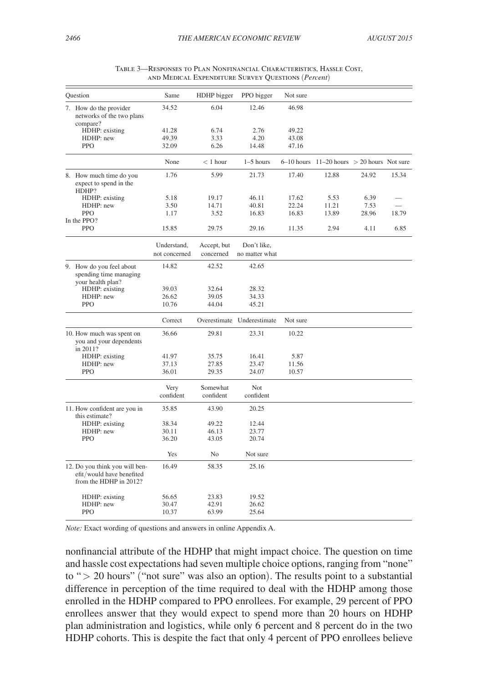<span id="page-17-0"></span>

| Ouestion                                                                              | Same                         | HDHP bigger              | PPO bigger                    | Not sure |                                                  |       |       |
|---------------------------------------------------------------------------------------|------------------------------|--------------------------|-------------------------------|----------|--------------------------------------------------|-------|-------|
| 7. How do the provider<br>networks of the two plans<br>compare?                       | 34.52                        | 6.04                     | 12.46                         | 46.98    |                                                  |       |       |
| HDHP: existing                                                                        | 41.28                        | 6.74                     | 2.76                          | 49.22    |                                                  |       |       |
| HDHP: new                                                                             | 49.39                        | 3.33                     | 4.20                          | 43.08    |                                                  |       |       |
| <b>PPO</b>                                                                            | 32.09                        | 6.26                     | 14.48                         | 47.16    |                                                  |       |       |
|                                                                                       |                              |                          |                               |          |                                                  |       |       |
|                                                                                       | None                         | $< 1$ hour               | $1-5$ hours                   |          | $6-10$ hours $11-20$ hours $> 20$ hours Not sure |       |       |
| 8. How much time do you<br>expect to spend in the<br>HDHP?                            | 1.76                         | 5.99                     | 21.73                         | 17.40    | 12.88                                            | 24.92 | 15.34 |
| HDHP: existing                                                                        | 5.18                         | 19.17                    | 46.11                         | 17.62    | 5.53                                             | 6.39  |       |
| HDHP: new                                                                             | 3.50                         | 14.71                    | 40.81                         | 22.24    | 11.21                                            | 7.53  |       |
| <b>PPO</b>                                                                            | 1.17                         | 3.52                     | 16.83                         | 16.83    | 13.89                                            | 28.96 | 18.79 |
| In the PPO?                                                                           |                              |                          |                               |          |                                                  |       |       |
| <b>PPO</b>                                                                            | 15.85                        | 29.75                    | 29.16                         | 11.35    | 2.94                                             | 4.11  | 6.85  |
|                                                                                       | Understand,<br>not concerned | Accept, but<br>concerned | Don't like,<br>no matter what |          |                                                  |       |       |
|                                                                                       |                              |                          |                               |          |                                                  |       |       |
| 9. How do you feel about<br>spending time managing<br>your health plan?               | 14.82                        | 42.52                    | 42.65                         |          |                                                  |       |       |
| HDHP: existing                                                                        | 39.03                        | 32.64                    | 28.32                         |          |                                                  |       |       |
| HDHP: new                                                                             | 26.62                        | 39.05                    | 34.33                         |          |                                                  |       |       |
| <b>PPO</b>                                                                            | 10.76                        | 44.04                    | 45.21                         |          |                                                  |       |       |
|                                                                                       | Correct                      |                          | Overestimate Underestimate    | Not sure |                                                  |       |       |
| 10. How much was spent on<br>you and your dependents<br>in 2011?                      | 36.66                        | 29.81                    | 23.31                         | 10.22    |                                                  |       |       |
| HDHP: existing                                                                        | 41.97                        | 35.75                    | 16.41                         | 5.87     |                                                  |       |       |
| HDHP: new                                                                             | 37.13                        | 27.85                    | 23.47                         | 11.56    |                                                  |       |       |
| <b>PPO</b>                                                                            | 36.01                        | 29.35                    | 24.07                         | 10.57    |                                                  |       |       |
|                                                                                       |                              |                          |                               |          |                                                  |       |       |
|                                                                                       | Very                         | Somewhat                 | Not                           |          |                                                  |       |       |
|                                                                                       | confident                    | confident                | confident                     |          |                                                  |       |       |
| 11. How confident are you in<br>this estimate?                                        | 35.85                        | 43.90                    | 20.25                         |          |                                                  |       |       |
| HDHP: existing                                                                        | 38.34                        | 49.22                    | 12.44                         |          |                                                  |       |       |
| HDHP: new                                                                             | 30.11                        | 46.13                    | 23.77                         |          |                                                  |       |       |
| <b>PPO</b>                                                                            | 36.20                        | 43.05                    | 20.74                         |          |                                                  |       |       |
|                                                                                       |                              |                          |                               |          |                                                  |       |       |
|                                                                                       | Yes                          | No                       | Not sure                      |          |                                                  |       |       |
| 12. Do you think you will ben-<br>efit/would have benefited<br>from the HDHP in 2012? | 16.49                        | 58.35                    | 25.16                         |          |                                                  |       |       |
| HDHP: existing                                                                        | 56.65                        | 23.83                    | 19.52                         |          |                                                  |       |       |
| HDHP: new                                                                             | 30.47                        | 42.91                    | 26.62                         |          |                                                  |       |       |
| <b>PPO</b>                                                                            | 10.37                        | 63.99                    | 25.64                         |          |                                                  |       |       |
|                                                                                       |                              |                          |                               |          |                                                  |       |       |

| Table 3—Responses to Plan Nonfinancial Characteristics, Hassle Cost, |
|----------------------------------------------------------------------|
| AND MEDICAL EXPENDITURE SURVEY QUESTIONS ( <i>Percent</i> )          |

*Note:* Exact wording of questions and answers in online Appendix A.

nonfinancial attribute of the HDHP that might impact choice. The question on time and hassle cost expectations had seven multiple choice options, ranging from "none" to " $>$  20 hours" ("not sure" was also an option). The results point to a substantial difference in perception of the time required to deal with the HDHP among those enrolled in the HDHP compared to PPO enrollees. For example, 29 percent of PPO enrollees answer that they would expect to spend more than 20 hours on HDHP plan administration and logistics, while only 6 percent and 8 percent do in the two HDHP cohorts. This is despite the fact that only 4 percent of PPO enrollees believe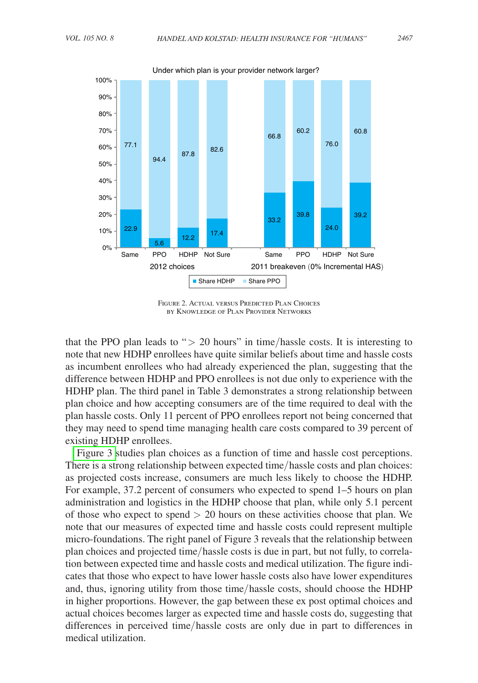<span id="page-18-0"></span>

Figure 2. Actual versus Predicted Plan Choices by Knowledge of Plan Provider Networks

that the PPO plan leads to " $> 20$  hours" in time/hassle costs. It is interesting to note that new HDHP enrollees have quite similar beliefs about time and hassle costs as incumbent enrollees who had already experienced the plan, suggesting that the difference between HDHP and PPO enrollees is not due only to experience with the HDHP plan. The third panel in Table 3 demonstrates a strong relationship between plan choice and how accepting consumers are of the time required to deal with the plan hassle costs. Only 11 percent of PPO enrollees report not being concerned that they may need to spend time managing health care costs compared to 39 percent of existing HDHP enrollees.

[Figure 3 s](#page-19-0)tudies plan choices as a function of time and hassle cost perceptions. There is a strong relationship between expected time/hassle costs and plan choices: as projected costs increase, consumers are much less likely to choose the HDHP. For example, 37.2 percent of consumers who expected to spend 1–5 hours on plan administration and logistics in the HDHP choose that plan, while only 5.1 percent of those who expect to spend  $> 20$  hours on these activities choose that plan. We note that our measures of expected time and hassle costs could represent multiple micro-foundations. The right panel of Figure 3 reveals that the relationship between plan choices and projected time/hassle costs is due in part, but not fully, to correlation between expected time and hassle costs and medical utilization. The figure indicates that those who expect to have lower hassle costs also have lower expenditures and, thus, ignoring utility from those time/hassle costs, should choose the HDHP in higher proportions. However, the gap between these ex post optimal choices and actual choices becomes larger as expected time and hassle costs do, suggesting that differences in perceived time/hassle costs are only due in part to differences in medical utilization.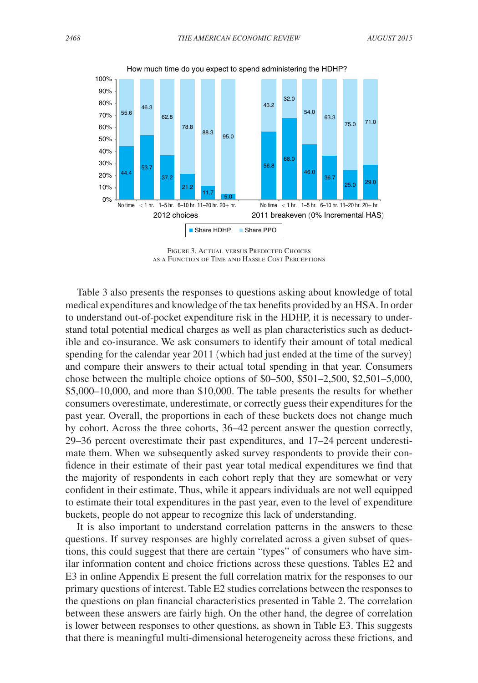<span id="page-19-0"></span>

Figure 3. Actual versus Predicted Choices as a Function of Time and Hassle Cost Perceptions

Table 3 also presents the responses to questions asking about knowledge of total medical expenditures and knowledge of the tax benefits provided by an HSA. In order to understand out-of-pocket expenditure risk in the HDHP, it is necessary to understand total potential medical charges as well as plan characteristics such as deductible and co-insurance. We ask consumers to identify their amount of total medical spending for the calendar year 2011 (which had just ended at the time of the survey) and compare their answers to their actual total spending in that year. Consumers chose between the multiple choice options of \$0–500, \$501–2,500, \$2,501–5,000, \$5,000–10,000, and more than \$10,000. The table presents the results for whether consumers overestimate, underestimate, or correctly guess their expenditures for the past year. Overall, the proportions in each of these buckets does not change much by cohort. Across the three cohorts, 36–42 percent answer the question correctly, 29–36 percent overestimate their past expenditures, and 17–24 percent underestimate them. When we subsequently asked survey respondents to provide their confidence in their estimate of their past year total medical expenditures we find that the majority of respondents in each cohort reply that they are somewhat or very confident in their estimate. Thus, while it appears individuals are not well equipped to estimate their total expenditures in the past year, even to the level of expenditure buckets, people do not appear to recognize this lack of understanding.

It is also important to understand correlation patterns in the answers to these questions. If survey responses are highly correlated across a given subset of questions, this could suggest that there are certain "types" of consumers who have similar information content and choice frictions across these questions. Tables E2 and E3 in online Appendix E present the full correlation matrix for the responses to our primary questions of interest. Table E2 studies correlations between the responses to the questions on plan financial characteristics presented in Table 2. The correlation between these answers are fairly high. On the other hand, the degree of correlation is lower between responses to other questions, as shown in Table E3. This suggests that there is meaningful multi-dimensional heterogeneity across these frictions, and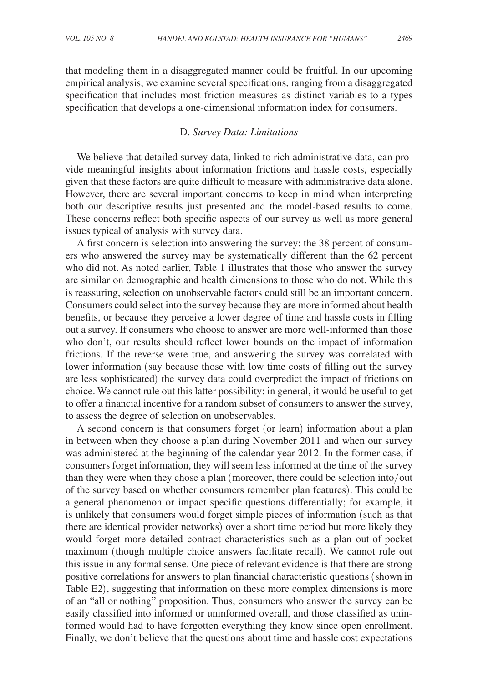that modeling them in a disaggregated manner could be fruitful. In our upcoming empirical analysis, we examine several specifications, ranging from a disaggregated specification that includes most friction measures as distinct variables to a types specification that develops a one-dimensional information index for consumers.

#### D. *Survey Data: Limitations*

We believe that detailed survey data, linked to rich administrative data, can provide meaningful insights about information frictions and hassle costs, especially given that these factors are quite difficult to measure with administrative data alone. However, there are several important concerns to keep in mind when interpreting both our descriptive results just presented and the model-based results to come. These concerns reflect both specific aspects of our survey as well as more general issues typical of analysis with survey data.

A first concern is selection into answering the survey: the 38 percent of consumers who answered the survey may be systematically different than the 62 percent who did not. As noted earlier, Table 1 illustrates that those who answer the survey are similar on demographic and health dimensions to those who do not. While this is reassuring, selection on unobservable factors could still be an important concern. Consumers could select into the survey because they are more informed about health benefits, or because they perceive a lower degree of time and hassle costs in filling out a survey. If consumers who choose to answer are more well-informed than those who don't, our results should reflect lower bounds on the impact of information frictions. If the reverse were true, and answering the survey was correlated with lower information (say because those with low time costs of filling out the survey are less sophisticated) the survey data could overpredict the impact of frictions on choice. We cannot rule out this latter possibility: in general, it would be useful to get to offer a financial incentive for a random subset of consumers to answer the survey, to assess the degree of selection on unobservables.

A second concern is that consumers forget (or learn) information about a plan in between when they choose a plan during November 2011 and when our survey was administered at the beginning of the calendar year 2012. In the former case, if consumers forget information, they will seem less informed at the time of the survey than they were when they chose a plan (moreover, there could be selection into/out of the survey based on whether consumers remember plan features). This could be a general phenomenon or impact specific questions differentially; for example, it is unlikely that consumers would forget simple pieces of information (such as that there are identical provider networks) over a short time period but more likely they would forget more detailed contract characteristics such as a plan out-of-pocket maximum (though multiple choice answers facilitate recall). We cannot rule out this issue in any formal sense. One piece of relevant evidence is that there are strong positive correlations for answers to plan financial characteristic questions (shown in Table E2), suggesting that information on these more complex dimensions is more of an "all or nothing" proposition. Thus, consumers who answer the survey can be easily classified into informed or uninformed overall, and those classified as uninformed would had to have forgotten everything they know since open enrollment. Finally, we don't believe that the questions about time and hassle cost expectations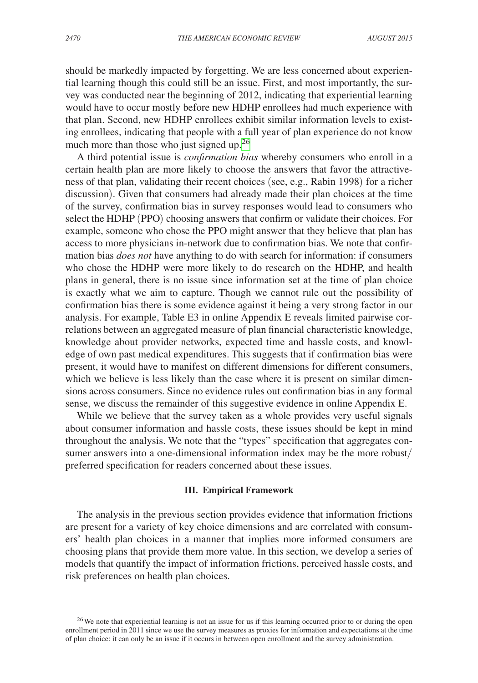should be markedly impacted by forgetting. We are less concerned about experiential learning though this could still be an issue. First, and most importantly, the survey was conducted near the beginning of 2012, indicating that experiential learning would have to occur mostly before new HDHP enrollees had much experience with that plan. Second, new HDHP enrollees exhibit similar information levels to existing enrollees, indicating that people with a full year of plan experience do not know much more than those who just signed up.<sup>[26](#page-21-0)</sup>

A third potential issue is *confirmation bias* whereby consumers who enroll in a certain health plan are more likely to choose the answers that favor the attractiveness of that plan, validating their recent choices (see, e.g., Rabin 1998) for a richer discussion). Given that consumers had already made their plan choices at the time of the survey, confirmation bias in survey responses would lead to consumers who select the HDHP (PPO) choosing answers that confirm or validate their choices. For example, someone who chose the PPO might answer that they believe that plan has access to more physicians in-network due to confirmation bias. We note that confirmation bias *does not* have anything to do with search for information: if consumers who chose the HDHP were more likely to do research on the HDHP, and health plans in general, there is no issue since information set at the time of plan choice is exactly what we aim to capture. Though we cannot rule out the possibility of confirmation bias there is some evidence against it being a very strong factor in our analysis. For example, Table E3 in online Appendix E reveals limited pairwise correlations between an aggregated measure of plan financial characteristic knowledge, knowledge about provider networks, expected time and hassle costs, and knowledge of own past medical expenditures. This suggests that if confirmation bias were present, it would have to manifest on different dimensions for different consumers, which we believe is less likely than the case where it is present on similar dimensions across consumers. Since no evidence rules out confirmation bias in any formal sense, we discuss the remainder of this suggestive evidence in online Appendix E.

While we believe that the survey taken as a whole provides very useful signals about consumer information and hassle costs, these issues should be kept in mind throughout the analysis. We note that the "types" specification that aggregates consumer answers into a one-dimensional information index may be the more robust/ preferred specification for readers concerned about these issues.

#### **III. Empirical Framework**

The analysis in the previous section provides evidence that information frictions are present for a variety of key choice dimensions and are correlated with consumers' health plan choices in a manner that implies more informed consumers are choosing plans that provide them more value. In this section, we develop a series of models that quantify the impact of information frictions, perceived hassle costs, and risk preferences on health plan choices.

<span id="page-21-0"></span><sup>26</sup>We note that experiential learning is not an issue for us if this learning occurred prior to or during the open enrollment period in 2011 since we use the survey measures as proxies for information and expectations at the time of plan choice: it can only be an issue if it occurs in between open enrollment and the survey administration.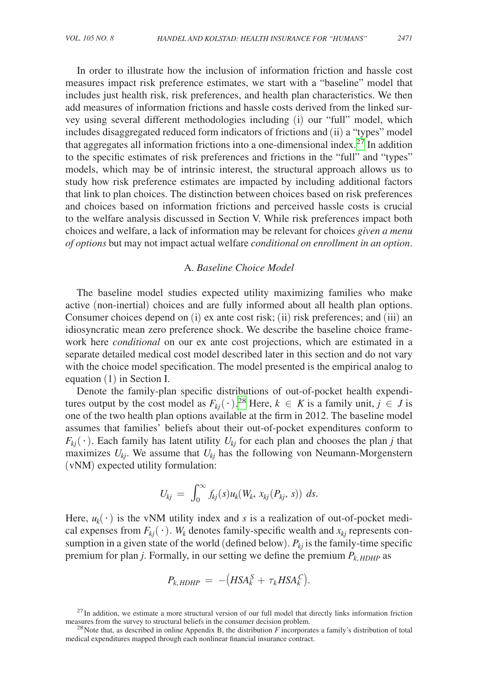In order to illustrate how the inclusion of information friction and hassle cost measures impact risk preference estimates, we start with a "baseline" model that includes just health risk, risk preferences, and health plan characteristics. We then add measures of information frictions and hassle costs derived from the linked survey using several different methodologies including (i) our "full" model, which includes disaggregated reduced form indicators of frictions and (ii) a "types" model that aggregates all information frictions into a one-dimensional index.[27](#page-22-0) In addition to the specific estimates of risk preferences and frictions in the "full" and "types" models, which may be of intrinsic interest, the structural approach allows us to study how risk preference estimates are impacted by including additional factors that link to plan choices. The distinction between choices based on risk preferences and choices based on information frictions and perceived hassle costs is crucial to the welfare analysis discussed in Section V. While risk preferences impact both choices and welfare, a lack of information may be relevant for choices *given a menu of options* but may not impact actual welfare *conditional on enrollment in an option*.

#### A. *Baseline Choice Model*

The baseline model studies expected utility maximizing families who make active (non-inertial) choices and are fully informed about all health plan options. Consumer choices depend on (i) ex ante cost risk; (ii) risk preferences; and (iii) an idiosyncratic mean zero preference shock. We describe the baseline choice framework here *conditional* on our ex ante cost projections, which are estimated in a separate detailed medical cost model described later in this section and do not vary with the choice model specification. The model presented is the empirical analog to equation (1) in Section I.

Denote the family-plan specific distributions of out-of-pocket health expenditures output by the cost model as  $F_{kj}(\cdot)$ .<sup>[28](#page-22-1)</sup> Here,  $k \in K$  is a family unit,  $j \in J$  is one of the two health plan options available at the firm in 2012. The baseline model assumes that families' beliefs about their out-of-pocket expenditures conform to  $F_{kj}(\cdot)$ . Each family has latent utility  $U_{kj}$  for each plan and chooses the plan *j* that maximizes  $U_{ki}$ . We assume that  $U_{ki}$  has the following von Neumann-Morgenstern (vNM) expected utility formulation:

$$
U_{kj} = \int_0^\infty f_{kj}(s)u_k(W_k, x_{kj}(P_{kj}, s)) ds.
$$

Here,  $u_k(\cdot)$  is the vNM utility index and *s* is a realization of out-of-pocket medical expenses from  $F_{ki}(\cdot)$ .  $W_k$  denotes family-specific wealth and  $x_{ki}$  represents consumption in a given state of the world (defined below).  $P_{kj}$  is the family-time specific premium for plan *j*. Formally, in our setting we define the premium  $P_{k, HDHP}$  as

$$
P_{k, HDHP} \ = \ -\big(HSA_k^S + \tau_k HSA_k^C\big).
$$

<span id="page-22-0"></span> $^{27}$ In addition, we estimate a more structural version of our full model that directly links information friction measures from the survey to structural beliefs in the consumer decision problem.

<span id="page-22-1"></span><sup>&</sup>lt;sup>28</sup> Note that, as described in online Appendix B, the distribution  $F$  incorporates a family's distribution of total medical expenditures mapped through each nonlinear financial insurance contract.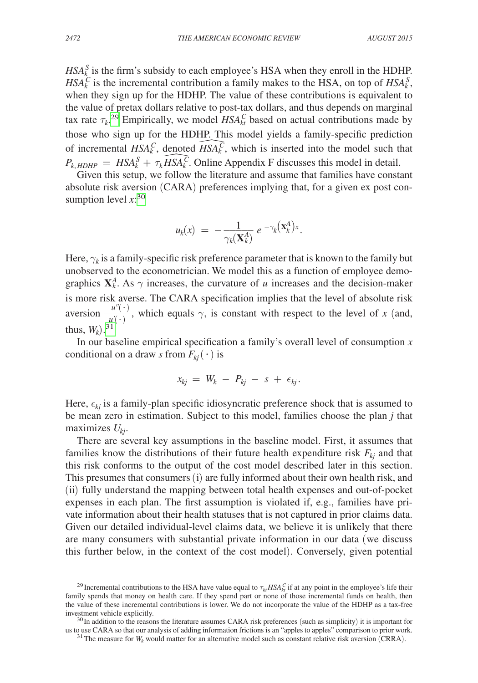$HSA_k^S$  is the firm's subsidy to each employee's HSA when they enroll in the HDHP.  $HSA_k^C$  is the incremental contribution a family makes to the HSA, on top of  $HSA_k^S$ , when they sign up for the HDHP. The value of these contributions is equivalent to the value of pretax dollars relative to post-tax dollars, and thus depends on marginal tax rate  $\tau_k$ <sup>29</sup> Empirically, we model  $HSA_{kt}^C$  based on actual contributions made by those who sign up for the HDHP. This model yields a family-specific prediction of incremental  $HSA_k^C$ , denoted  $\widehat{HSA_k^C}$ , which is inserted into the model such that  $P_{k, HDHP} = HSA_k^S + \tau_k \widetilde{HSA_k^C}$ . Online Appendix F discusses this model in detail.

Given this setup, we follow the literature and assume that families have constant absolute risk aversion (CARA) preferences implying that, for a given ex post consumption level  $x$ <sup>[30](#page-23-1)</sup>

$$
u_k(x) = -\frac{1}{\gamma_k(\mathbf{X}_k^A)} e^{-\gamma_k(\mathbf{X}_k^A)x}.
$$

Here,  $\gamma_k$  is a family-specific risk preference parameter that is known to the family but unobserved to the econometrician. We model this as a function of employee demographics  $X_k^A$ . As  $\gamma$  increases, the curvature of *u* increases and the decision-maker is more risk averse. The CARA specification implies that the level of absolute risk aversion  $\frac{-u''(\cdot)}{u'(\cdot)}$ , which equals  $\gamma$ , is constant with respect to the level of *x* (and, thus,  $W_k$ ).<sup>[31](#page-23-2)</sup>

In our baseline empirical specification a family's overall level of consumption *x* conditional on a draw *s* from  $F_{ki}(\cdot)$  is

$$
x_{kj} = W_k - P_{kj} - s + \epsilon_{kj}.
$$

Here,  $\epsilon_{ki}$  is a family-plan specific idiosyncratic preference shock that is assumed to be mean zero in estimation. Subject to this model, families choose the plan *j* that maximizes *Ukj*.

There are several key assumptions in the baseline model. First, it assumes that families know the distributions of their future health expenditure risk  $F_{ki}$  and that this risk conforms to the output of the cost model described later in this section. This presumes that consumers (i) are fully informed about their own health risk, and (ii) fully understand the mapping between total health expenses and out-of-pocket expenses in each plan. The first assumption is violated if, e.g., families have private information about their health statuses that is not captured in prior claims data. Given our detailed individual-level claims data, we believe it is unlikely that there are many consumers with substantial private information in our data (we discuss this further below, in the context of the cost model). Conversely, given potential

<span id="page-23-0"></span><sup>&</sup>lt;sup>29</sup> Incremental contributions to the HSA have value equal to  $\tau_{kt} HSA_{kt}^C$  if at any point in the employee's life their family spends that money on health care. If they spend part or none of those incremental funds on health, then the value of these incremental contributions is lower. We do not incorporate the value of the HDHP as a tax-free investment vehicle explicitly.

<sup>&</sup>lt;sup>30</sup>In addition to the reasons the literature assumes CARA risk preferences (such as simplicity) it is important for us to use CARA so that our analysis of adding information frictions is an "apples to apples" comparison t

<span id="page-23-2"></span><span id="page-23-1"></span> $31$  The measure for  $W_k$  would matter for an alternative model such as constant relative risk aversion (CRRA).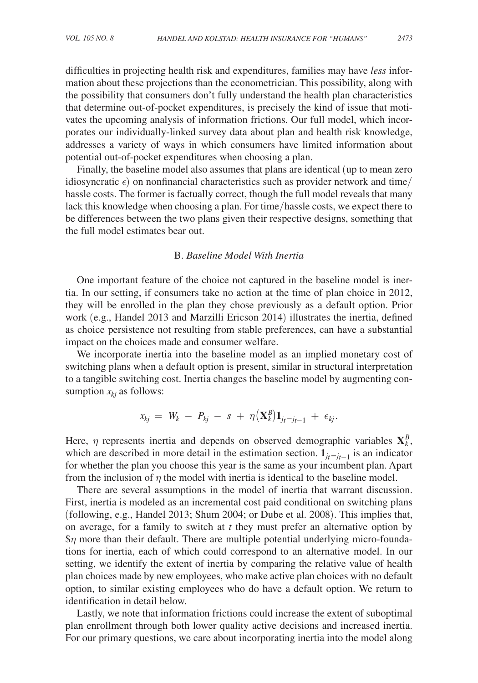difficulties in projecting health risk and expenditures, families may have *less* information about these projections than the econometrician. This possibility, along with the possibility that consumers don't fully understand the health plan characteristics that determine out-of-pocket expenditures, is precisely the kind of issue that motivates the upcoming analysis of information frictions. Our full model, which incorporates our individually-linked survey data about plan and health risk knowledge, addresses a variety of ways in which consumers have limited information about potential out-of-pocket expenditures when choosing a plan.

Finally, the baseline model also assumes that plans are identical (up to mean zero idiosyncratic  $\epsilon$ ) on nonfinancial characteristics such as provider network and time/ hassle costs. The former is factually correct, though the full model reveals that many lack this knowledge when choosing a plan. For time/hassle costs, we expect there to be differences between the two plans given their respective designs, something that the full model estimates bear out.

#### B. *Baseline Model With Inertia*

One important feature of the choice not captured in the baseline model is inertia. In our setting, if consumers take no action at the time of plan choice in 2012, they will be enrolled in the plan they chose previously as a default option. Prior work (e.g., Handel 2013 and Marzilli Ericson 2014) illustrates the inertia, defined as choice persistence not resulting from stable preferences, can have a substantial impact on the choices made and consumer welfare.

We incorporate inertia into the baseline model as an implied monetary cost of switching plans when a default option is present, similar in structural interpretation to a tangible switching cost. Inertia changes the baseline model by augmenting consumption  $x_{ki}$  as follows:

$$
x_{kj} = W_k - P_{kj} - s + \eta (\mathbf{X}_k^B) \mathbf{1}_{j_t=j_{t-1}} + \epsilon_{kj}.
$$

Here,  $\eta$  represents inertia and depends on observed demographic variables  $X_k^B$ , which are described in more detail in the estimation section.  $\mathbf{1}_{i_t=i_{t-1}}$  is an indicator for whether the plan you choose this year is the same as your incumbent plan. Apart from the inclusion of  $\eta$  the model with inertia is identical to the baseline model.

There are several assumptions in the model of inertia that warrant discussion. First, inertia is modeled as an incremental cost paid conditional on switching plans (following, e.g., Handel 2013; Shum 2004; or Dube et al. 2008). This implies that, on average, for a family to switch at *t* they must prefer an alternative option by  $\gamma$  more than their default. There are multiple potential underlying micro-foundations for inertia, each of which could correspond to an alternative model. In our setting, we identify the extent of inertia by comparing the relative value of health plan choices made by new employees, who make active plan choices with no default option, to similar existing employees who do have a default option. We return to identification in detail below.

Lastly, we note that information frictions could increase the extent of suboptimal plan enrollment through both lower quality active decisions and increased inertia. For our primary questions, we care about incorporating inertia into the model along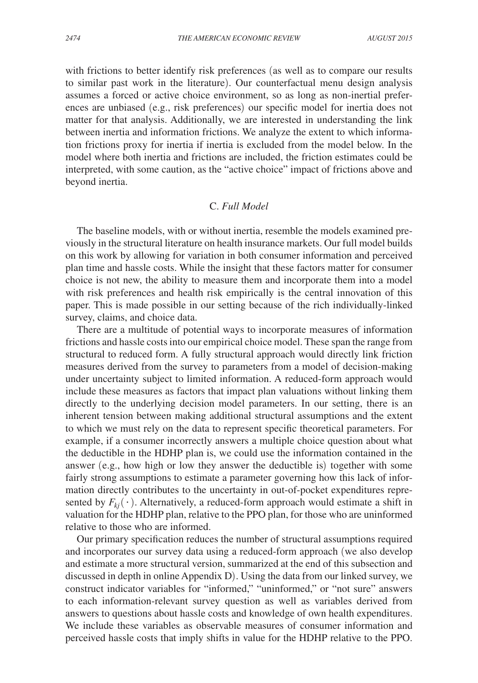with frictions to better identify risk preferences (as well as to compare our results to similar past work in the literature). Our counterfactual menu design analysis assumes a forced or active choice environment, so as long as non-inertial preferences are unbiased (e.g., risk preferences) our specific model for inertia does not matter for that analysis. Additionally, we are interested in understanding the link between inertia and information frictions. We analyze the extent to which information frictions proxy for inertia if inertia is excluded from the model below. In the model where both inertia and frictions are included, the friction estimates could be interpreted, with some caution, as the "active choice" impact of frictions above and beyond inertia.

#### C. *Full Model*

The baseline models, with or without inertia, resemble the models examined previously in the structural literature on health insurance markets. Our full model builds on this work by allowing for variation in both consumer information and perceived plan time and hassle costs. While the insight that these factors matter for consumer choice is not new, the ability to measure them and incorporate them into a model with risk preferences and health risk empirically is the central innovation of this paper. This is made possible in our setting because of the rich individually-linked survey, claims, and choice data.

There are a multitude of potential ways to incorporate measures of information frictions and hassle costs into our empirical choice model. These span the range from structural to reduced form. A fully structural approach would directly link friction measures derived from the survey to parameters from a model of decision-making under uncertainty subject to limited information. A reduced-form approach would include these measures as factors that impact plan valuations without linking them directly to the underlying decision model parameters. In our setting, there is an inherent tension between making additional structural assumptions and the extent to which we must rely on the data to represent specific theoretical parameters. For example, if a consumer incorrectly answers a multiple choice question about what the deductible in the HDHP plan is, we could use the information contained in the answer (e.g., how high or low they answer the deductible is) together with some fairly strong assumptions to estimate a parameter governing how this lack of information directly contributes to the uncertainty in out-of-pocket expenditures represented by  $F_{ki}(\cdot)$ . Alternatively, a reduced-form approach would estimate a shift in valuation for the HDHP plan, relative to the PPO plan, for those who are uninformed relative to those who are informed.

Our primary specification reduces the number of structural assumptions required and incorporates our survey data using a reduced-form approach (we also develop and estimate a more structural version, summarized at the end of this subsection and discussed in depth in online Appendix D). Using the data from our linked survey, we construct indicator variables for "informed," "uninformed," or "not sure" answers to each information-relevant survey question as well as variables derived from answers to questions about hassle costs and knowledge of own health expenditures. We include these variables as observable measures of consumer information and perceived hassle costs that imply shifts in value for the HDHP relative to the PPO.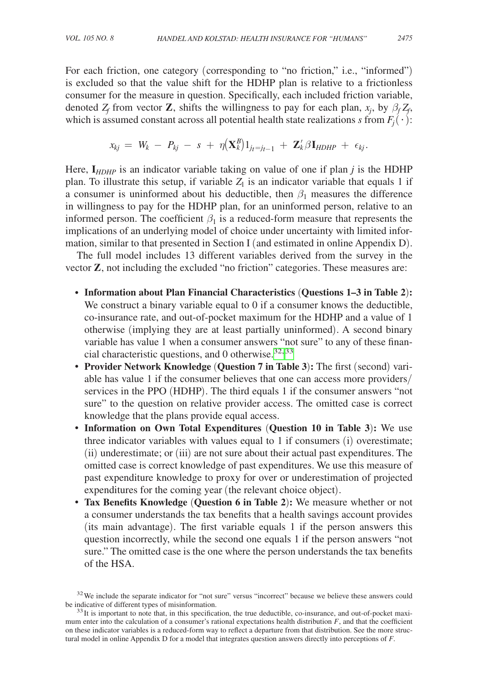For each friction, one category (corresponding to "no friction," i.e., "informed") is excluded so that the value shift for the HDHP plan is relative to a frictionless consumer for the measure in question. Specifically, each included friction variable, denoted  $Z_f$  from vector **Z**, shifts the willingness to pay for each plan,  $x_j$ , by  $\beta_f Z_f$ , which is assumed constant across all potential health state realizations *s* from  $F_i(\cdot)$ :

$$
x_{kj} = W_k - P_{kj} - s + \eta(\mathbf{X}_k^B)1_{jt=j_t-1} + \mathbf{Z}_k^{\prime} \beta \mathbf{I}_{HDHP} + \epsilon_{kj}.
$$

Here,  $I_{HDHP}$  is an indicator variable taking on value of one if plan *j* is the HDHP plan. To illustrate this setup, if variable  $Z_1$  is an indicator variable that equals 1 if a consumer is uninformed about his deductible, then  $\beta_1$  measures the difference in willingness to pay for the HDHP plan, for an uninformed person, relative to an informed person. The coefficient  $\beta_1$  is a reduced-form measure that represents the implications of an underlying model of choice under uncertainty with limited information, similar to that presented in Section I (and estimated in online Appendix D).

The full model includes 13 different variables derived from the survey in the vector **Z**, not including the excluded "no friction" categories. These measures are:

- **Information about Plan Financial Characteristics** (**Questions 1–3 in Table 2**)**:** We construct a binary variable equal to 0 if a consumer knows the deductible, co-insurance rate, and out-of-pocket maximum for the HDHP and a value of 1 otherwise (implying they are at least partially uninformed). A second binary variable has value 1 when a consumer answers "not sure" to any of these financial characteristic questions, and 0 otherwise.  $32,33$  $32,33$
- **Provider Network Knowledge** (**Question 7 in Table 3**)**:** The first (second) variable has value 1 if the consumer believes that one can access more providers/ services in the PPO (HDHP). The third equals 1 if the consumer answers "not sure" to the question on relative provider access. The omitted case is correct knowledge that the plans provide equal access.
- **Information on Own Total Expenditures** (**Question 10 in Table 3**)**:** We use three indicator variables with values equal to 1 if consumers (i) overestimate; (ii) underestimate; or (iii) are not sure about their actual past expenditures. The omitted case is correct knowledge of past expenditures. We use this measure of past expenditure knowledge to proxy for over or underestimation of projected expenditures for the coming year (the relevant choice object).
- **Tax Benefits Knowledge** (**Question 6 in Table 2**)**:** We measure whether or not a consumer understands the tax benefits that a health savings account provides (its main advantage). The first variable equals 1 if the person answers this question incorrectly, while the second one equals 1 if the person answers "not sure." The omitted case is the one where the person understands the tax benefits of the HSA.

<span id="page-26-0"></span><sup>&</sup>lt;sup>32</sup>We include the separate indicator for "not sure" versus "incorrect" because we believe these answers could be indicative of different types of misinformation.<br><sup>33</sup>It is important to note that, in this specification, the true deductible, co-insurance, and out-of-pocket maxi-

<span id="page-26-1"></span>mum enter into the calculation of a consumer's rational expectations health distribution  $F$ , and that the coefficient on these indicator variables is a reduced-form way to reflect a departure from that distribution. See the more structural model in online Appendix D for a model that integrates question answers directly into perceptions of *F*.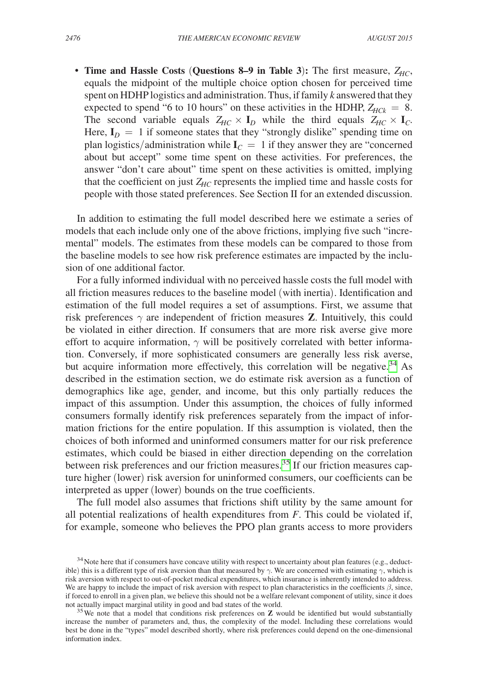• **Time and Hassle Costs (Questions 8–9 in Table 3):** The first measure,  $Z_{HC}$ , equals the midpoint of the multiple choice option chosen for perceived time spent on HDHP logistics and administration. Thus, if family *k* answered that they expected to spend "6 to 10 hours" on these activities in the HDHP,  $Z_{HCK} = 8$ . The second variable equals  $Z_{HC} \times I_D$  while the third equals  $Z_{HC} \times I_C$ . Here,  $I_D = 1$  if someone states that they "strongly dislike" spending time on plan logistics/administration while  $I_C = 1$  if they answer they are "concerned" about but accept" some time spent on these activities. For preferences, the answer "don't care about" time spent on these activities is omitted, implying that the coefficient on just  $Z_{HC}$  represents the implied time and hassle costs for people with those stated preferences. See Section II for an extended discussion.

In addition to estimating the full model described here we estimate a series of models that each include only one of the above frictions, implying five such "incremental" models. The estimates from these models can be compared to those from the baseline models to see how risk preference estimates are impacted by the inclusion of one additional factor.

For a fully informed individual with no perceived hassle costs the full model with all friction measures reduces to the baseline model (with inertia). Identification and estimation of the full model requires a set of assumptions. First, we assume that risk preferences  $\gamma$  are independent of friction measures **Z**. Intuitively, this could be violated in either direction. If consumers that are more risk averse give more effort to acquire information,  $\gamma$  will be positively correlated with better information. Conversely, if more sophisticated consumers are generally less risk averse, but acquire information more effectively, this correlation will be negative.<sup>34</sup> As described in the estimation section, we do estimate risk aversion as a function of demographics like age, gender, and income, but this only partially reduces the impact of this assumption. Under this assumption, the choices of fully informed consumers formally identify risk preferences separately from the impact of information frictions for the entire population. If this assumption is violated, then the choices of both informed and uninformed consumers matter for our risk preference estimates, which could be biased in either direction depending on the correlation between risk preferences and our friction measures.<sup>35</sup> If our friction measures capture higher (lower) risk aversion for uninformed consumers, our coefficients can be interpreted as upper (lower) bounds on the true coefficients.

The full model also assumes that frictions shift utility by the same amount for all potential realizations of health expenditures from *F*. This could be violated if, for example, someone who believes the PPO plan grants access to more providers

<span id="page-27-0"></span><sup>&</sup>lt;sup>34</sup> Note here that if consumers have concave utility with respect to uncertainty about plan features (e.g., deductible) this is a different type of risk aversion than that measured by  $\gamma$ . We are concerned with estimating  $\gamma$ , which is risk aversion with respect to out-of-pocket medical expenditures, which insurance is inherently intended to address. We are happy to include the impact of risk aversion with respect to plan characteristics in the coefficients  $\beta$ , since, if forced to enroll in a given plan, we believe this should not be a welfare relevant component of utility, since it does not actually impact marginal utility in good and bad states of the world.

<span id="page-27-1"></span><sup>&</sup>lt;sup>35</sup>We note that a model that conditions risk preferences on **Z** would be identified but would substantially increase the number of parameters and, thus, the complexity of the model. Including these correlations would best be done in the "types" model described shortly, where risk preferences could depend on the one-dimensional information index.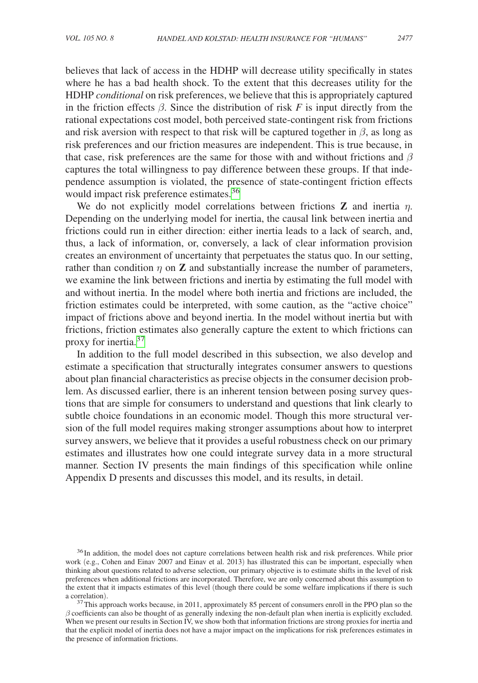believes that lack of access in the HDHP will decrease utility specifically in states where he has a bad health shock. To the extent that this decreases utility for the HDHP *conditional* on risk preferences, we believe that this is appropriately captured in the friction effects  $\beta$ . Since the distribution of risk *F* is input directly from the rational expectations cost model, both perceived state-contingent risk from frictions and risk aversion with respect to that risk will be captured together in  $\beta$ , as long as risk preferences and our friction measures are independent. This is true because, in that case, risk preferences are the same for those with and without frictions and  $\beta$ captures the total willingness to pay difference between these groups. If that independence assumption is violated, the presence of state-contingent friction effects would impact risk preference estimates.<sup>[36](#page-28-0)</sup>

We do not explicitly model correlations between frictions **Z** and inertia  $\eta$ . Depending on the underlying model for inertia, the causal link between inertia and frictions could run in either direction: either inertia leads to a lack of search, and, thus, a lack of information, or, conversely, a lack of clear information provision creates an environment of uncertainty that perpetuates the status quo. In our setting, rather than condition  $\eta$  on **Z** and substantially increase the number of parameters, we examine the link between frictions and inertia by estimating the full model with and without inertia. In the model where both inertia and frictions are included, the friction estimates could be interpreted, with some caution, as the "active choice" impact of frictions above and beyond inertia. In the model without inertia but with frictions, friction estimates also generally capture the extent to which frictions can proxy for inertia.<sup>[37](#page-28-1)</sup>

In addition to the full model described in this subsection, we also develop and estimate a specification that structurally integrates consumer answers to questions about plan financial characteristics as precise objects in the consumer decision problem. As discussed earlier, there is an inherent tension between posing survey questions that are simple for consumers to understand and questions that link clearly to subtle choice foundations in an economic model. Though this more structural version of the full model requires making stronger assumptions about how to interpret survey answers, we believe that it provides a useful robustness check on our primary estimates and illustrates how one could integrate survey data in a more structural manner. Section IV presents the main findings of this specification while online Appendix D presents and discusses this model, and its results, in detail.

<span id="page-28-0"></span><sup>&</sup>lt;sup>36</sup>In addition, the model does not capture correlations between health risk and risk preferences. While prior work (e.g., Cohen and Einav 2007 and Einav et al. 2013) has illustrated this can be important, especially when thinking about questions related to adverse selection, our primary objective is to estimate shifts in the level of risk preferences when additional frictions are incorporated. Therefore, we are only concerned about this assumption to the extent that it impacts estimates of this level (though there could be some welfare implications if there is such a correlation).

<span id="page-28-1"></span> $37$ This approach works because, in 2011, approximately 85 percent of consumers enroll in the PPO plan so the  $\beta$  coefficients can also be thought of as generally indexing the non-default plan when inertia is explicitly excluded. When we present our results in Section IV, we show both that information frictions are strong proxies for inertia and that the explicit model of inertia does not have a major impact on the implications for risk preferences estimates in the presence of information frictions.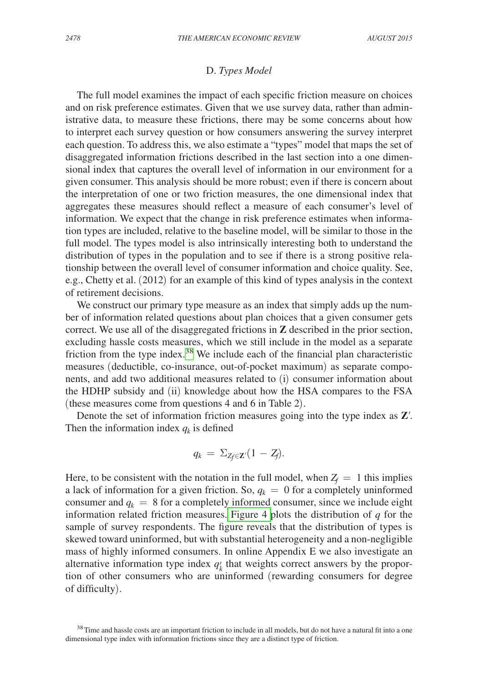#### D. *Types Model*

The full model examines the impact of each specific friction measure on choices and on risk preference estimates. Given that we use survey data, rather than administrative data, to measure these frictions, there may be some concerns about how to interpret each survey question or how consumers answering the survey interpret each question. To address this, we also estimate a "types" model that maps the set of disaggregated information frictions described in the last section into a one dimensional index that captures the overall level of information in our environment for a given consumer. This analysis should be more robust; even if there is concern about the interpretation of one or two friction measures, the one dimensional index that aggregates these measures should reflect a measure of each consumer's level of information. We expect that the change in risk preference estimates when information types are included, relative to the baseline model, will be similar to those in the full model. The types model is also intrinsically interesting both to understand the distribution of types in the population and to see if there is a strong positive relationship between the overall level of consumer information and choice quality. See, e.g., Chetty et al. (2012) for an example of this kind of types analysis in the context of retirement decisions.

We construct our primary type measure as an index that simply adds up the number of information related questions about plan choices that a given consumer gets correct. We use all of the disaggregated frictions in **Z** described in the prior section, excluding hassle costs measures, which we still include in the model as a separate friction from the type index[.38](#page-29-0) We include each of the financial plan characteristic measures (deductible, co-insurance, out-of-pocket maximum) as separate components, and add two additional measures related to (i) consumer information about the HDHP subsidy and (ii) knowledge about how the HSA compares to the FSA (these measures come from questions 4 and 6 in Table 2).

Denote the set of information friction measures going into the type index as **Z**′. Then the information index  $q_k$  is defined

$$
q_k = \Sigma_{Z_f \in \mathbf{Z}'} (1 - Z_f).
$$

Here, to be consistent with the notation in the full model, when  $Z_f = 1$  this implies a lack of information for a given friction. So,  $q_k = 0$  for a completely uninformed consumer and  $q_k = 8$  for a completely informed consumer, since we include eight information related friction measures. [Figure 4](#page-30-0) plots the distribution of *q* for the sample of survey respondents. The figure reveals that the distribution of types is skewed toward uninformed, but with substantial heterogeneity and a non-negligible mass of highly informed consumers. In online Appendix E we also investigate an alternative information type index  $q_k$  that weights correct answers by the propor- $\frac{7}{6}$ tion of other consumers who are uninformed (rewarding consumers for degree of difficulty).

<span id="page-29-0"></span><sup>&</sup>lt;sup>38</sup>Time and hassle costs are an important friction to include in all models, but do not have a natural fit into a one dimensional type index with information frictions since they are a distinct type of friction.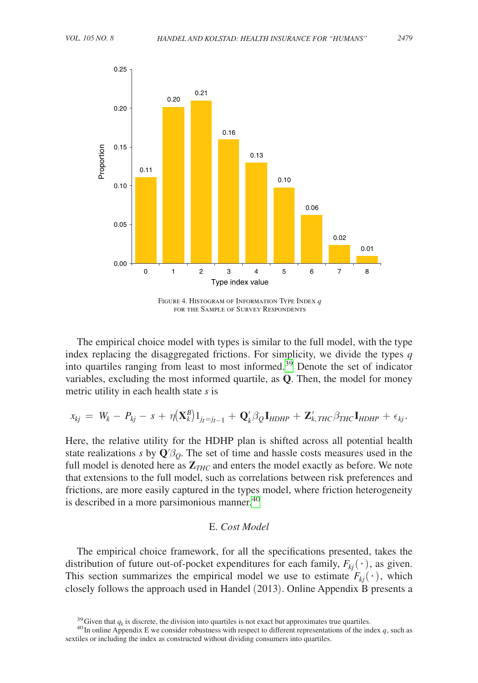<span id="page-30-0"></span>

Figure 4. Histogram of Information Type Index *q* for the Sample of Survey Respondents

The empirical choice model with types is similar to the full model, with the type index replacing the disaggregated frictions. For simplicity, we divide the types *q* into quartiles ranging from least to most informed.<sup>[39](#page-30-1)</sup> Denote the set of indicator variables, excluding the most informed quartile, as **Q**. Then, the model for money metric utility in each health state *s* is

$$
x_{kj} = W_k - P_{kj} - s + \eta (\mathbf{X}_k^B) \mathbf{1}_{j_t=j_{t-1}} + \mathbf{Q}_k^{\prime} \beta_Q \mathbf{I}_{HDHP} + \mathbf{Z}_k^{\prime}, \text{trc} \beta_{THC} \mathbf{I}_{HDHP} + \epsilon_{kj}.
$$

Here, the relative utility for the HDHP plan is shifted across all potential health state realizations *s* by  $\mathbf{Q}'\beta_o$ . The set of time and hassle costs measures used in the full model is denoted here as  $\mathbb{Z}_{THC}$  and enters the model exactly as before. We note that extensions to the full model, such as correlations between risk preferences and frictions, are more easily captured in the types model, where friction heterogeneity is described in a more parsimonious manner.<sup>40</sup>

#### E. *Cost Model*

The empirical choice framework, for all the specifications presented, takes the distribution of future out-of-pocket expenditures for each family,  $F_{ki}(\cdot)$ , as given. This section summarizes the empirical model we use to estimate  $F_{ki}(\cdot)$ , which closely follows the approach used in Handel (2013). Online Appendix B presents a

<span id="page-30-2"></span><span id="page-30-1"></span>

<sup>&</sup>lt;sup>39</sup> Given that  $q_k$  is discrete, the division into quartiles is not exact but approximates true quartiles.<br><sup>40</sup> In online Appendix E we consider robustness with respect to different representations of the index q, such a sextiles or including the index as constructed without dividing consumers into quartiles.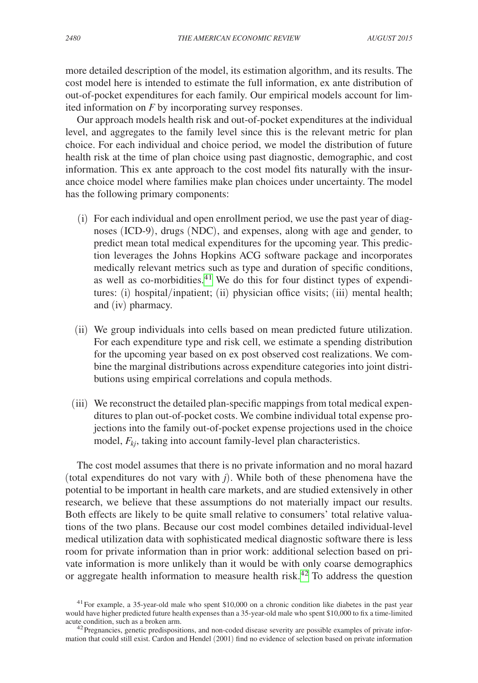more detailed description of the model, its estimation algorithm, and its results. The cost model here is intended to estimate the full information, ex ante distribution of out-of-pocket expenditures for each family. Our empirical models account for limited information on *F* by incorporating survey responses.

Our approach models health risk and out-of-pocket expenditures at the individual level, and aggregates to the family level since this is the relevant metric for plan choice. For each individual and choice period, we model the distribution of future health risk at the time of plan choice using past diagnostic, demographic, and cost information. This ex ante approach to the cost model fits naturally with the insurance choice model where families make plan choices under uncertainty. The model has the following primary components:

- (i) For each individual and open enrollment period, we use the past year of diagnoses (ICD-9), drugs (NDC), and expenses, along with age and gender, to predict mean total medical expenditures for the upcoming year. This prediction leverages the Johns Hopkins ACG software package and incorporates medically relevant metrics such as type and duration of specific conditions, as well as co-morbidities.<sup>41</sup> We do this for four distinct types of expenditures: (i) hospital/inpatient; (ii) physician office visits; (iii) mental health; and (iv) pharmacy.
- (ii) We group individuals into cells based on mean predicted future utilization. For each expenditure type and risk cell, we estimate a spending distribution for the upcoming year based on ex post observed cost realizations. We combine the marginal distributions across expenditure categories into joint distributions using empirical correlations and copula methods.
- (iii) We reconstruct the detailed plan-specific mappings from total medical expenditures to plan out-of-pocket costs. We combine individual total expense projections into the family out-of-pocket expense projections used in the choice model,  $F_{ki}$ , taking into account family-level plan characteristics.

The cost model assumes that there is no private information and no moral hazard (total expenditures do not vary with *j*). While both of these phenomena have the potential to be important in health care markets, and are studied extensively in other research, we believe that these assumptions do not materially impact our results. Both effects are likely to be quite small relative to consumers' total relative valuations of the two plans. Because our cost model combines detailed individual-level medical utilization data with sophisticated medical diagnostic software there is less room for private information than in prior work: additional selection based on private information is more unlikely than it would be with only coarse demographics or aggregate health information to measure health risk.[42](#page-31-1) To address the question

<span id="page-31-0"></span> $41$  For example, a 35-year-old male who spent \$10,000 on a chronic condition like diabetes in the past year would have higher predicted future health expenses than a 35-year-old male who spent \$10,000 to fix a time-limited acute condition, such as a broken arm.

<span id="page-31-1"></span> $42$  Pregnancies, genetic predispositions, and non-coded disease severity are possible examples of private information that could still exist. Cardon and Hendel (2001) find no evidence of selection based on private information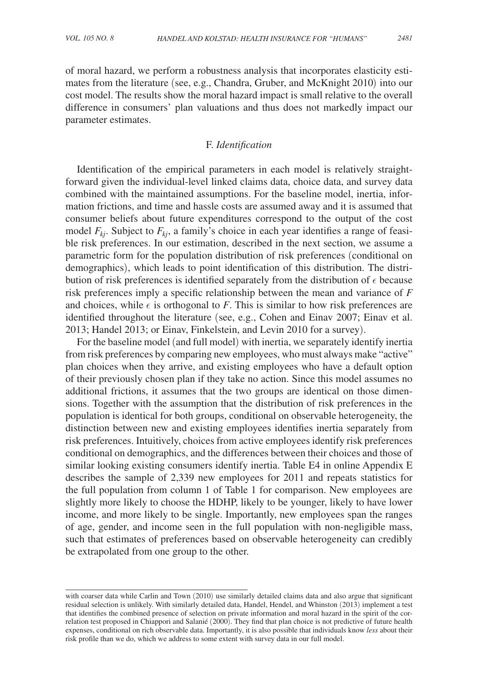of moral hazard, we perform a robustness analysis that incorporates elasticity estimates from the literature (see, e.g., Chandra, Gruber, and McKnight 2010) into our cost model. The results show the moral hazard impact is small relative to the overall difference in consumers' plan valuations and thus does not markedly impact our parameter estimates.

## F. *Identification*

Identification of the empirical parameters in each model is relatively straightforward given the individual-level linked claims data, choice data, and survey data combined with the maintained assumptions. For the baseline model, inertia, information frictions, and time and hassle costs are assumed away and it is assumed that consumer beliefs about future expenditures correspond to the output of the cost model  $F_{ki}$ . Subject to  $F_{ki}$ , a family's choice in each year identifies a range of feasible risk preferences. In our estimation, described in the next section, we assume a parametric form for the population distribution of risk preferences (conditional on demographics), which leads to point identification of this distribution. The distribution of risk preferences is identified separately from the distribution of  $\epsilon$  because risk preferences imply a specific relationship between the mean and variance of *F* and choices, while  $\epsilon$  is orthogonal to *F*. This is similar to how risk preferences are identified throughout the literature (see, e.g., Cohen and Einav 2007; Einav et al. 2013; Handel 2013; or Einav, Finkelstein, and Levin 2010 for a survey).

For the baseline model (and full model) with inertia, we separately identify inertia from risk preferences by comparing new employees, who must always make "active" plan choices when they arrive, and existing employees who have a default option of their previously chosen plan if they take no action. Since this model assumes no additional frictions, it assumes that the two groups are identical on those dimensions. Together with the assumption that the distribution of risk preferences in the population is identical for both groups, conditional on observable heterogeneity, the distinction between new and existing employees identifies inertia separately from risk preferences. Intuitively, choices from active employees identify risk preferences conditional on demographics, and the differences between their choices and those of similar looking existing consumers identify inertia. Table E4 in online Appendix E describes the sample of 2,339 new employees for 2011 and repeats statistics for the full population from column 1 of Table 1 for comparison. New employees are slightly more likely to choose the HDHP, likely to be younger, likely to have lower income, and more likely to be single. Importantly, new employees span the ranges of age, gender, and income seen in the full population with non-negligible mass, such that estimates of preferences based on observable heterogeneity can credibly be extrapolated from one group to the other.

with coarser data while Carlin and Town (2010) use similarly detailed claims data and also argue that significant residual selection is unlikely. With similarly detailed data, Handel, Hendel, and Whinston (2013) implement a test that identifies the combined presence of selection on private information and moral hazard in the spirit of the correlation test proposed in Chiappori and Salanié (2000). They find that plan choice is not predictive of future health expenses, conditional on rich observable data. Importantly, it is also possible that individuals know *less* about their risk profile than we do, which we address to some extent with survey data in our full model.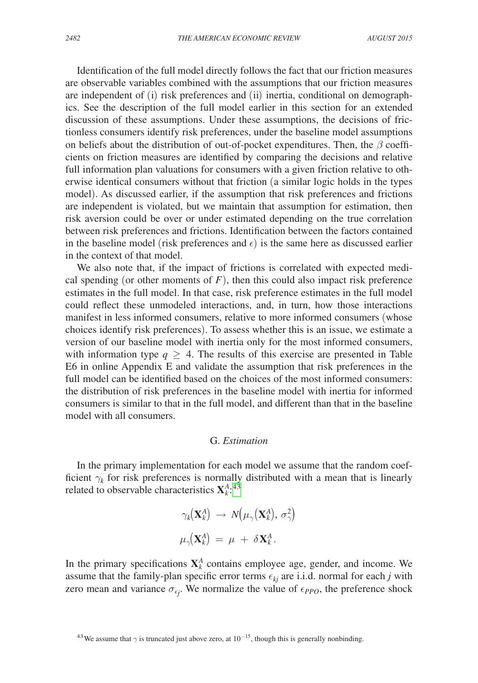Identification of the full model directly follows the fact that our friction measures are observable variables combined with the assumptions that our friction measures are independent of (i) risk preferences and (ii) inertia, conditional on demographics. See the description of the full model earlier in this section for an extended discussion of these assumptions. Under these assumptions, the decisions of frictionless consumers identify risk preferences, under the baseline model assumptions on beliefs about the distribution of out-of-pocket expenditures. Then, the  $\beta$  coefficients on friction measures are identified by comparing the decisions and relative full information plan valuations for consumers with a given friction relative to otherwise identical consumers without that friction (a similar logic holds in the types model). As discussed earlier, if the assumption that risk preferences and frictions are independent is violated, but we maintain that assumption for estimation, then risk aversion could be over or under estimated depending on the true correlation between risk preferences and frictions. Identification between the factors contained in the baseline model (risk preferences and  $\epsilon$ ) is the same here as discussed earlier in the context of that model.

We also note that, if the impact of frictions is correlated with expected medical spending (or other moments of  $F$ ), then this could also impact risk preference estimates in the full model. In that case, risk preference estimates in the full model could reflect these unmodeled interactions, and, in turn, how those interactions manifest in less informed consumers, relative to more informed consumers (whose choices identify risk preferences). To assess whether this is an issue, we estimate a version of our baseline model with inertia only for the most informed consumers, with information type  $q \geq 4$ . The results of this exercise are presented in Table E6 in online Appendix E and validate the assumption that risk preferences in the full model can be identified based on the choices of the most informed consumers: the distribution of risk preferences in the baseline model with inertia for informed consumers is similar to that in the full model, and different than that in the baseline model with all consumers.

#### G. *Estimation*

In the primary implementation for each model we assume that the random coefficient  $\gamma_k$  for risk preferences is normally distributed with a mean that is linearly related to observable characteristics  $\mathbf{X}_{k}^{A}$ .<sup>[43](#page-33-0)</sup>

$$
\gamma_k(\mathbf{X}_k^A) \rightarrow N(\mu_\gamma(\mathbf{X}_k^A), \sigma_\gamma^2)
$$
  

$$
\mu_\gamma(\mathbf{X}_k^A) = \mu + \delta \mathbf{X}_k^A.
$$

In the primary specifications  $X_k^A$  contains employee age, gender, and income. We assume that the family-plan specific error terms  $\epsilon_{kj}$  are i.i.d. normal for each *j* with zero mean and variance  $\sigma_{\epsilon j}$ . We normalize the value of  $\epsilon_{PPO}$ , the preference shock

<span id="page-33-0"></span><sup>&</sup>lt;sup>43</sup>We assume that  $\gamma$  is truncated just above zero, at 10<sup>-15</sup>, though this is generally nonbinding.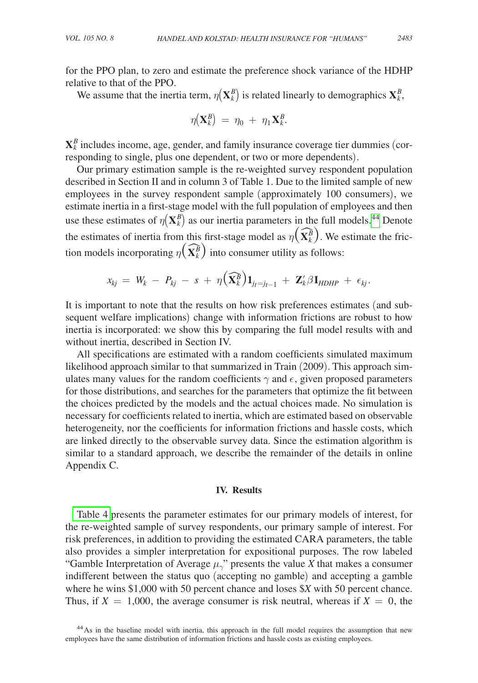for the PPO plan, to zero and estimate the preference shock variance of the HDHP relative to that of the PPO.

We assume that the inertia term,  $\eta(\mathbf{X}_k^B)$  is related linearly to demographics  $\mathbf{X}_k^B$ ,

$$
\eta(\mathbf{X}_k^B) = \eta_0 + \eta_1 \mathbf{X}_k^B.
$$

 $\mathbf{X}_{k}^{B}$  includes income, age, gender, and family insurance coverage tier dummies (corresponding to single, plus one dependent, or two or more dependents).

Our primary estimation sample is the re-weighted survey respondent population described in Section II and in column 3 of Table 1. Due to the limited sample of new employees in the survey respondent sample (approximately 100 consumers), we estimate inertia in a first-stage model with the full population of employees and then use these estimates of  $\eta(\mathbf{X}_k^B)$  as our inertia parameters in the full models.<sup>44</sup> Denote the estimates of inertia from this first-stage model as  $\eta(\widehat{\mathbf{X}_{k}^{B}})$ . We estimate the friction models incorporating  $\eta(\widehat{\mathbf{X}_{k}^{B}})$  into consumer utility as follows:

$$
x_{kj} = W_k - P_{kj} - s + \eta \left( \widehat{\mathbf{X}_k^B} \right) \mathbf{1}_{jt=j_t-1} + \mathbf{Z}_k^{\prime} \beta \mathbf{I}_{HDHP} + \epsilon_{kj}.
$$

It is important to note that the results on how risk preferences estimates (and subsequent welfare implications) change with information frictions are robust to how inertia is incorporated: we show this by comparing the full model results with and without inertia, described in Section IV.

All specifications are estimated with a random coefficients simulated maximum likelihood approach similar to that summarized in Train (2009). This approach simulates many values for the random coefficients  $\gamma$  and  $\epsilon$ , given proposed parameters for those distributions, and searches for the parameters that optimize the fit between the choices predicted by the models and the actual choices made. No simulation is necessary for coefficients related to inertia, which are estimated based on observable heterogeneity, nor the coefficients for information frictions and hassle costs, which are linked directly to the observable survey data. Since the estimation algorithm is similar to a standard approach, we describe the remainder of the details in online Appendix C.

#### **IV. Results**

[Table 4](#page-35-0) presents the parameter estimates for our primary models of interest, for the re-weighted sample of survey respondents, our primary sample of interest. For risk preferences, in addition to providing the estimated CARA parameters, the table also provides a simpler interpretation for expositional purposes. The row labeled "Gamble Interpretation of Average  $\mu_{\gamma}$ " presents the value *X* that makes a consumer indifferent between the status quo (accepting no gamble) and accepting a gamble where he wins \$1,000 with 50 percent chance and loses \$*X* with 50 percent chance. Thus, if  $X = 1,000$ , the average consumer is risk neutral, whereas if  $X = 0$ , the

<span id="page-34-0"></span><sup>&</sup>lt;sup>44</sup>As in the baseline model with inertia, this approach in the full model requires the assumption that new employees have the same distribution of information frictions and hassle costs as existing employees.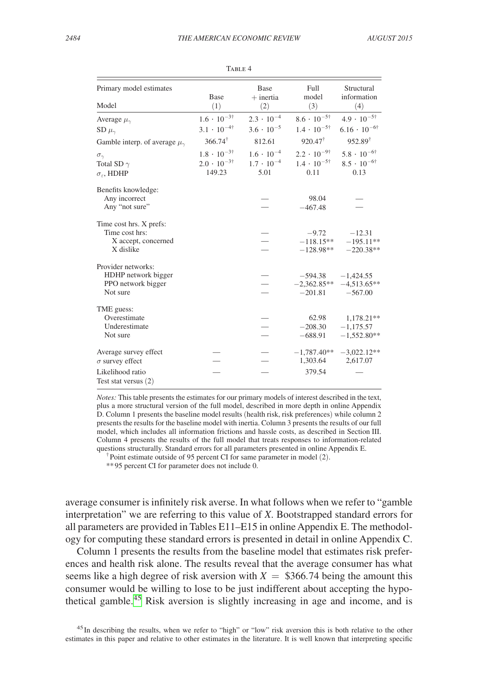<span id="page-35-0"></span>

| Primary model estimates                  | <b>Base</b>                | Base<br>$+$ inertia | Full<br>model              | Structural<br>information   |  |
|------------------------------------------|----------------------------|---------------------|----------------------------|-----------------------------|--|
| Model                                    | (1)                        | (2)                 | (3)                        | (4)                         |  |
| Average $\mu_{\gamma}$                   | $1.6 \cdot 10^{-3\dagger}$ | $2.3 \cdot 10^{-4}$ | $8.6 \cdot 10^{-5\dagger}$ | $4.9 \cdot 10^{-5\dagger}$  |  |
| SD $\mu_{\gamma}$                        | $3.1 \cdot 10^{-4\dagger}$ | $3.6 \cdot 10^{-5}$ | $1.4 \cdot 10^{-5\dagger}$ | $6.16 \cdot 10^{-6\dagger}$ |  |
| Gamble interp. of average $\mu_{\gamma}$ | $366.74^{\dagger}$         | 812.61              | $920.47^{\dagger}$         | $952.89^{\dagger}$          |  |
| $\sigma_{\gamma}$                        | $1.8 \cdot 10^{-3\dagger}$ | $1.6 \cdot 10^{-4}$ | $2.2 \cdot 10^{-9\dagger}$ | $5.8 \cdot 10^{-6\dagger}$  |  |
| Total SD $\gamma$                        | $2.0 \cdot 10^{-3\dagger}$ | $1.7 \cdot 10^{-4}$ | $1.4 \cdot 10^{-5\dagger}$ | $8.5 \cdot 10^{-6\dagger}$  |  |
| $\sigma_{\varepsilon}$ , HDHP            | 149.23                     | 5.01                | 0.11                       | 0.13                        |  |
| Benefits knowledge:                      |                            |                     |                            |                             |  |
| Any incorrect                            |                            |                     | 98.04                      |                             |  |
| Any "not sure"                           |                            |                     | $-467.48$                  |                             |  |
|                                          |                            |                     |                            |                             |  |
| Time cost hrs. X prefs:                  |                            |                     |                            |                             |  |
| Time cost hrs:                           |                            |                     | $-9.72$                    | $-12.31$                    |  |
| X accept, concerned                      |                            |                     | $-118.15**$                | $-195.11**$                 |  |
| X dislike                                |                            |                     | $-128.98**$                | $-220.38**$                 |  |
| Provider networks:                       |                            |                     |                            |                             |  |
| HDHP network bigger                      |                            |                     | $-594.38$                  | $-1,424.55$                 |  |
| PPO network bigger                       |                            |                     | $-2,362.85**$              | $-4,513.65**$               |  |
| Not sure                                 |                            |                     | $-201.81$                  | $-567.00$                   |  |
| TME guess:                               |                            |                     |                            |                             |  |
| Overestimate                             |                            |                     | 62.98                      | 1,178.21**                  |  |
| Underestimate                            |                            |                     | $-208.30$                  | $-1,175.57$                 |  |
| Not sure                                 |                            |                     | $-688.91$                  | $-1,552.80**$               |  |
|                                          |                            |                     |                            |                             |  |
| Average survey effect                    |                            |                     | $-1,787.40**$              | $-3,022.12**$               |  |
| $\sigma$ survey effect                   |                            |                     | 1,303.64                   | 2,617.07                    |  |
| Likelihood ratio                         |                            |                     | 379.54                     |                             |  |
| Test stat versus $(2)$                   |                            |                     |                            |                             |  |
|                                          |                            |                     |                            |                             |  |

TABLE 4

*Notes:* This table presents the estimates for our primary models of interest described in the text, plus a more structural version of the full model, described in more depth in online Appendix D. Column 1 presents the baseline model results (health risk, risk preferences) while column 2 presents the results for the baseline model with inertia. Column 3 presents the results of our full model, which includes all information frictions and hassle costs, as described in Section III. Column 4 presents the results of the full model that treats responses to information-related questions structurally. Standard errors for all parameters presented in online Appendix E. †Point estimate outside of 95 percent CI for same parameter in model (2).

\*\*95 percent CI for parameter does not include 0.

average consumer is infinitely risk averse. In what follows when we refer to "gamble interpretation" we are referring to this value of *X*. Bootstrapped standard errors for all parameters are provided in Tables E11–E15 in online Appendix E. The methodology for computing these standard errors is presented in detail in online Appendix C.

Column 1 presents the results from the baseline model that estimates risk preferences and health risk alone. The results reveal that the average consumer has what seems like a high degree of risk aversion with  $X = $366.74$  being the amount this consumer would be willing to lose to be just indifferent about accepting the hypothetical gamble.[45](#page-35-1) Risk aversion is slightly increasing in age and income, and is

<span id="page-35-1"></span><sup>45</sup>In describing the results, when we refer to "high" or "low" risk aversion this is both relative to the other estimates in this paper and relative to other estimates in the literature. It is well known that interpreting specific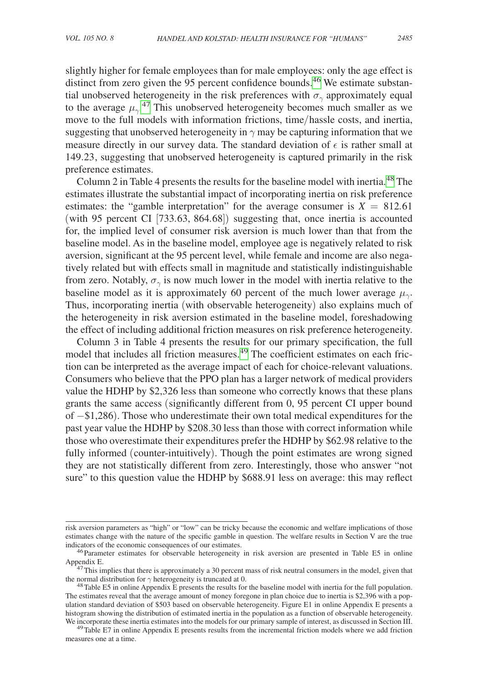slightly higher for female employees than for male employees: only the age effect is distinct from zero given the 95 percent confidence bounds.<sup>46</sup> We estimate substantial unobserved heterogeneity in the risk preferences with  $\sigma_{\gamma}$  approximately equal to the average  $\mu_{\gamma}$ <sup>[47](#page-36-1)</sup> This unobserved heterogeneity becomes much smaller as we move to the full models with information frictions, time/hassle costs, and inertia, suggesting that unobserved heterogeneity in  $\gamma$  may be capturing information that we measure directly in our survey data. The standard deviation of  $\epsilon$  is rather small at 149.23, suggesting that unobserved heterogeneity is captured primarily in the risk preference estimates.

Column 2 in Table 4 presents the results for the baseline model with inertia.<sup>48</sup> The estimates illustrate the substantial impact of incorporating inertia on risk preference estimates: the "gamble interpretation" for the average consumer is  $X = 812.61$ (with 95 percent CI [733.63, 864.68]) suggesting that, once inertia is accounted for, the implied level of consumer risk aversion is much lower than that from the baseline model. As in the baseline model, employee age is negatively related to risk aversion, significant at the 95 percent level, while female and income are also negatively related but with effects small in magnitude and statistically indistinguishable from zero. Notably,  $\sigma_{\gamma}$  is now much lower in the model with inertia relative to the baseline model as it is approximately 60 percent of the much lower average  $\mu_{\gamma}$ . Thus, incorporating inertia (with observable heterogeneity) also explains much of the heterogeneity in risk aversion estimated in the baseline model, foreshadowing the effect of including additional friction measures on risk preference heterogeneity.

Column 3 in Table 4 presents the results for our primary specification, the full model that includes all friction measures.<sup>49</sup> The coefficient estimates on each friction can be interpreted as the average impact of each for choice-relevant valuations. Consumers who believe that the PPO plan has a larger network of medical providers value the HDHP by \$2,326 less than someone who correctly knows that these plans grants the same access (significantly different from 0, 95 percent CI upper bound of −\$1,286). Those who underestimate their own total medical expenditures for the past year value the HDHP by \$208.30 less than those with correct information while those who overestimate their expenditures prefer the HDHP by \$62.98 relative to the fully informed (counter-intuitively). Though the point estimates are wrong signed they are not statistically different from zero. Interestingly, those who answer "not sure" to this question value the HDHP by \$688.91 less on average: this may reflect

risk aversion parameters as "high" or "low" can be tricky because the economic and welfare implications of those estimates change with the nature of the specific gamble in question. The welfare results in Section V are the true indicators of the economic consequences of our estimates.

<span id="page-36-0"></span><sup>&</sup>lt;sup>46</sup>Parameter estimates for observable heterogeneity in risk aversion are presented in Table E5 in online Appendix E.

<span id="page-36-1"></span><sup>&</sup>lt;sup>14</sup>47This implies that there is approximately a 30 percent mass of risk neutral consumers in the model, given that the normal distribution for  $\gamma$  heterogeneity is truncated at 0.

<span id="page-36-2"></span><sup>&</sup>lt;sup>48</sup>Table E5 in online Appendix E presents the results for the baseline model with inertia for the full population. The estimates reveal that the average amount of money foregone in plan choice due to inertia is \$2,396 with a population standard deviation of \$503 based on observable heterogeneity. Figure E1 in online Appendix E presents a histogram showing the distribution of estimated inertia in the population as a function of observable heterogeneity.<br>We incorporate these inertia estimates into the models for our primary sample of interest, as discussed i

<span id="page-36-3"></span><sup>&</sup>lt;sup>49</sup>Table E7 in online Appendix E presents results from the incremental friction models where we add friction measures one at a time.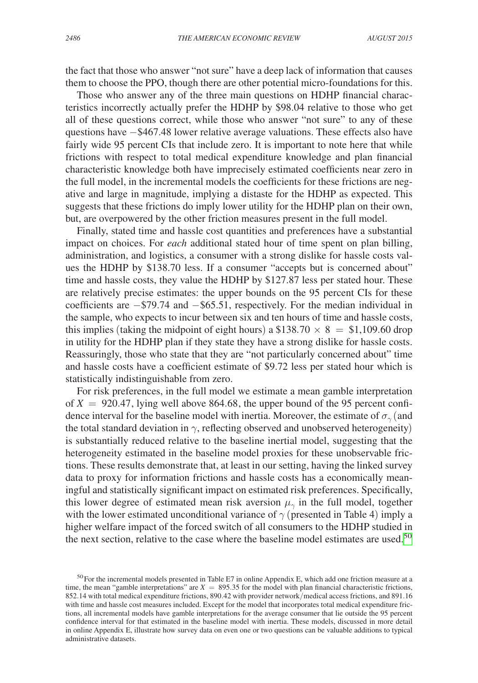the fact that those who answer "not sure" have a deep lack of information that causes them to choose the PPO, though there are other potential micro-foundations for this.

Those who answer any of the three main questions on HDHP financial characteristics incorrectly actually prefer the HDHP by \$98.04 relative to those who get all of these questions correct, while those who answer "not sure" to any of these questions have −\$467.48 lower relative average valuations. These effects also have fairly wide 95 percent CIs that include zero. It is important to note here that while frictions with respect to total medical expenditure knowledge and plan financial characteristic knowledge both have imprecisely estimated coefficients near zero in the full model, in the incremental models the coefficients for these frictions are negative and large in magnitude, implying a distaste for the HDHP as expected. This suggests that these frictions do imply lower utility for the HDHP plan on their own, but, are overpowered by the other friction measures present in the full model.

Finally, stated time and hassle cost quantities and preferences have a substantial impact on choices. For *each* additional stated hour of time spent on plan billing, administration, and logistics, a consumer with a strong dislike for hassle costs values the HDHP by \$138.70 less. If a consumer "accepts but is concerned about" time and hassle costs, they value the HDHP by \$127.87 less per stated hour. These are relatively precise estimates: the upper bounds on the 95 percent CIs for these coefficients are −\$79.74 and −\$65.51, respectively. For the median individual in the sample, who expects to incur between six and ten hours of time and hassle costs, this implies (taking the midpoint of eight hours) a \$138.70  $\times$  8 = \$1,109.60 drop in utility for the HDHP plan if they state they have a strong dislike for hassle costs. Reassuringly, those who state that they are "not particularly concerned about" time and hassle costs have a coefficient estimate of \$9.72 less per stated hour which is statistically indistinguishable from zero.

For risk preferences, in the full model we estimate a mean gamble interpretation of  $X = 920.47$ , lying well above 864.68, the upper bound of the 95 percent confidence interval for the baseline model with inertia. Moreover, the estimate of  $\sigma_{\gamma}$  (and the total standard deviation in  $\gamma$ , reflecting observed and unobserved heterogeneity) is substantially reduced relative to the baseline inertial model, suggesting that the heterogeneity estimated in the baseline model proxies for these unobservable frictions. These results demonstrate that, at least in our setting, having the linked survey data to proxy for information frictions and hassle costs has a economically meaningful and statistically significant impact on estimated risk preferences. Specifically, this lower degree of estimated mean risk aversion  $\mu_{\gamma}$  in the full model, together with the lower estimated unconditional variance of  $\gamma$  (presented in Table 4) imply a higher welfare impact of the forced switch of all consumers to the HDHP studied in the next section, relative to the case where the baseline model estimates are used.<sup>[50](#page-37-0)</sup>

<span id="page-37-0"></span> $50$  For the incremental models presented in Table E7 in online Appendix E, which add one friction measure at a time, the mean "gamble interpretations" are  $X = 895.35$  for the model with plan financial characteristic frictions, 852.14 with total medical expenditure frictions, 890.42 with provider network/medical access frictions, and 891.16 with time and hassle cost measures included. Except for the model that incorporates total medical expenditure frictions, all incremental models have gamble interpretations for the average consumer that lie outside the 95 percent confidence interval for that estimated in the baseline model with inertia. These models, discussed in more detail in online Appendix E, illustrate how survey data on even one or two questions can be valuable additions to typical administrative datasets.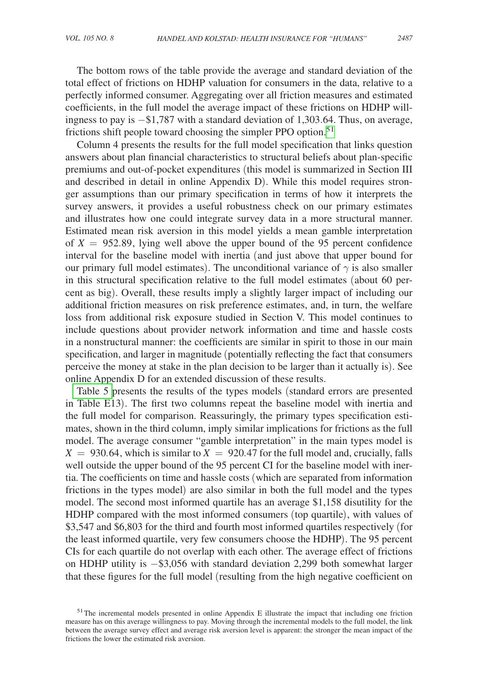The bottom rows of the table provide the average and standard deviation of the total effect of frictions on HDHP valuation for consumers in the data, relative to a perfectly informed consumer. Aggregating over all friction measures and estimated coefficients, in the full model the average impact of these frictions on HDHP willingness to pay is −\$1,787 with a standard deviation of 1,303.64. Thus, on average, frictions shift people toward choosing the simpler PPO option.<sup>[51](#page-38-0)</sup>

Column 4 presents the results for the full model specification that links question answers about plan financial characteristics to structural beliefs about plan-specific premiums and out-of-pocket expenditures (this model is summarized in Section III and described in detail in online Appendix D). While this model requires stronger assumptions than our primary specification in terms of how it interprets the survey answers, it provides a useful robustness check on our primary estimates and illustrates how one could integrate survey data in a more structural manner. Estimated mean risk aversion in this model yields a mean gamble interpretation of  $X = 952.89$ , lying well above the upper bound of the 95 percent confidence interval for the baseline model with inertia (and just above that upper bound for our primary full model estimates). The unconditional variance of  $\gamma$  is also smaller in this structural specification relative to the full model estimates (about 60 percent as big). Overall, these results imply a slightly larger impact of including our additional friction measures on risk preference estimates, and, in turn, the welfare loss from additional risk exposure studied in Section V. This model continues to include questions about provider network information and time and hassle costs in a nonstructural manner: the coefficients are similar in spirit to those in our main specification, and larger in magnitude (potentially reflecting the fact that consumers perceive the money at stake in the plan decision to be larger than it actually is). See online Appendix D for an extended discussion of these results.

[Table 5](#page-39-0) presents the results of the types models (standard errors are presented in Table E13). The first two columns repeat the baseline model with inertia and the full model for comparison. Reassuringly, the primary types specification estimates, shown in the third column, imply similar implications for frictions as the full model. The average consumer "gamble interpretation" in the main types model is  $X = 930.64$ , which is similar to  $X = 920.47$  for the full model and, crucially, falls well outside the upper bound of the 95 percent CI for the baseline model with inertia. The coefficients on time and hassle costs (which are separated from information frictions in the types model) are also similar in both the full model and the types model. The second most informed quartile has an average \$1,158 disutility for the HDHP compared with the most informed consumers (top quartile), with values of \$3,547 and \$6,803 for the third and fourth most informed quartiles respectively (for the least informed quartile, very few consumers choose the HDHP). The 95 percent CIs for each quartile do not overlap with each other. The average effect of frictions on HDHP utility is −\$3,056 with standard deviation 2,299 both somewhat larger that these figures for the full model (resulting from the high negative coefficient on

<span id="page-38-0"></span><sup>&</sup>lt;sup>51</sup>The incremental models presented in online Appendix E illustrate the impact that including one friction measure has on this average willingness to pay. Moving through the incremental models to the full model, the link between the average survey effect and average risk aversion level is apparent: the stronger the mean impact of the frictions the lower the estimated risk aversion.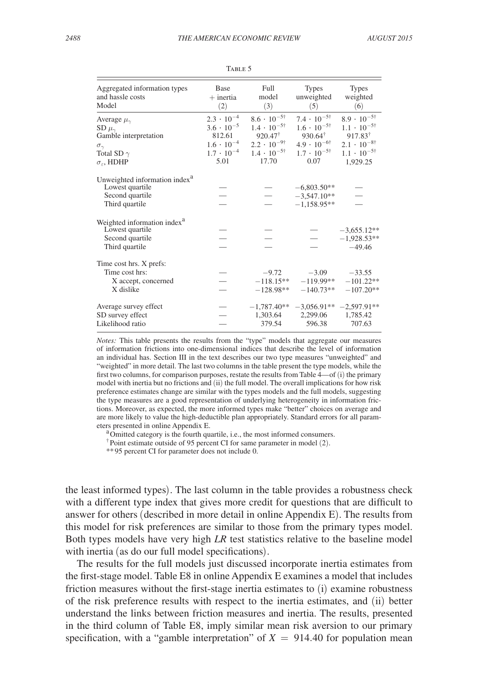<span id="page-39-0"></span>

| 2488 |  |  |
|------|--|--|
|      |  |  |

| Aggregated information types                                                                      | <b>Base</b>         | Full                                  | <b>Types</b>                                    | <b>Types</b>                               |
|---------------------------------------------------------------------------------------------------|---------------------|---------------------------------------|-------------------------------------------------|--------------------------------------------|
| and hassle costs                                                                                  | $+$ inertia         | model                                 | unweighted                                      | weighted                                   |
| Model                                                                                             | (2)                 | (3)                                   | (5)                                             | (6)                                        |
| Average $\mu_{\gamma}$                                                                            | $2.3 \cdot 10^{-4}$ | $8.6 \cdot 10^{-5\dagger}$            | $7.4 \cdot 10^{-5\dagger}$                      | $8.9 \cdot 10^{-5\dagger}$                 |
| SD $\mu_{\gamma}$                                                                                 | $3.6 \cdot 10^{-5}$ | $1.4 \cdot 10^{-5\dagger}$            | $1.6 \cdot 10^{-5\dagger}$                      | $1.1 \cdot 10^{-5\dagger}$                 |
| Gamble interpretation                                                                             | 812.61              | $920.47^{\dagger}$                    | $930.64^{\dagger}$                              | $917.83^{\dagger}$                         |
| $\sigma_{\gamma}$                                                                                 | $1.6 \cdot 10^{-4}$ | $2.2 \cdot 10^{-9\dagger}$            | $4.9 \cdot 10^{-6\dagger}$                      | $2.1 \cdot 10^{-8\dagger}$                 |
| Total SD $\gamma$                                                                                 | $1.7 \cdot 10^{-4}$ | $1.4 \cdot 10^{-5\dagger}$            | $1.7 \cdot 10^{-5\dagger}$                      | $1.1 \cdot 10^{-5\dagger}$                 |
| $\sigma_{\varepsilon}$ , HDHP                                                                     | 5.01                | 17.70                                 | 0.07                                            | 1,929.25                                   |
| Unweighted information index <sup>a</sup><br>Lowest quartile<br>Second quartile<br>Third quartile |                     |                                       | $-6,803.50**$<br>$-3,547.10**$<br>$-1,158.95**$ |                                            |
| Weighted information index <sup>a</sup><br>Lowest quartile<br>Second quartile<br>Third quartile   |                     |                                       |                                                 | $-3,655.12**$<br>$-1,928.53**$<br>$-49.46$ |
| Time cost hrs. X prefs:<br>Time cost hrs:<br>X accept, concerned<br>X dislike                     |                     | $-9.72$<br>$-118.15**$<br>$-128.98**$ | $-3.09$<br>$-119.99**$<br>$-140.73**$           | $-33.55$<br>$-101.22**$<br>$-107.20**$     |
| Average survey effect                                                                             |                     | $-1,787.40**$                         | $-3,056.91**$                                   | $-2,597.91**$                              |
| SD survey effect                                                                                  |                     | 1,303.64                              | 2,299.06                                        | 1,785.42                                   |
| Likelihood ratio                                                                                  |                     | 379.54                                | 596.38                                          | 707.63                                     |

TABLE 5

*Notes:* This table presents the results from the "type" models that aggregate our measures of information frictions into one-dimensional indices that describe the level of information an individual has. Section III in the text describes our two type measures "unweighted" and "weighted" in more detail. The last two columns in the table present the type models, while the first two columns, for comparison purposes, restate the results from Table 4—of (i) the primary model with inertia but no frictions and (ii) the full model. The overall implications for how risk preference estimates change are similar with the types models and the full models, suggesting the type measures are a good representation of underlying heterogeneity in information frictions. Moreover, as expected, the more informed types make "better" choices on average and are more likely to value the high-deductible plan appropriately. Standard errors for all parameters presented in online Appendix E.<br><sup>a</sup>Omitted category is the fourth quartile, i.e., the most informed consumers.

†Point estimate outside of 95 percent CI for same parameter in model (2).

\*\*95 percent CI for parameter does not include 0.

the least informed types). The last column in the table provides a robustness check with a different type index that gives more credit for questions that are difficult to answer for others (described in more detail in online Appendix E). The results from this model for risk preferences are similar to those from the primary types model. Both types models have very high *LR* test statistics relative to the baseline model with inertia (as do our full model specifications).

The results for the full models just discussed incorporate inertia estimates from the first-stage model. Table E8 in online Appendix E examines a model that includes friction measures without the first-stage inertia estimates to (i) examine robustness of the risk preference results with respect to the inertia estimates, and (ii) better understand the links between friction measures and inertia. The results, presented in the third column of Table E8, imply similar mean risk aversion to our primary specification, with a "gamble interpretation" of  $X = 914.40$  for population mean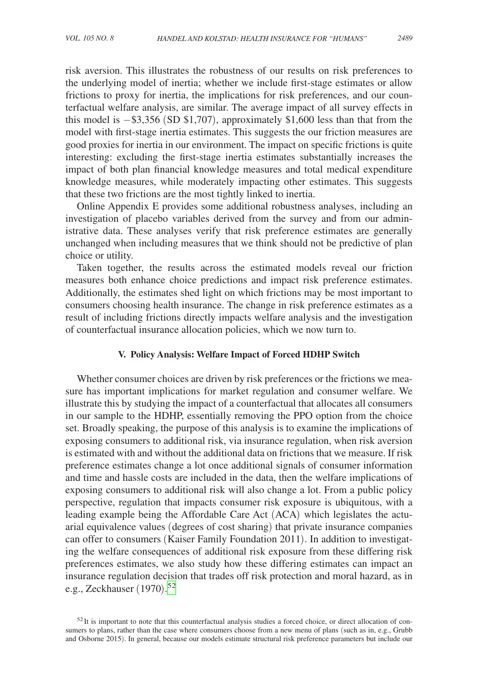risk aversion. This illustrates the robustness of our results on risk preferences to the underlying model of inertia; whether we include first-stage estimates or allow frictions to proxy for inertia, the implications for risk preferences, and our counterfactual welfare analysis, are similar. The average impact of all survey effects in this model is  $-\$3,356$  (SD \$1,707), approximately \$1,600 less than that from the model with first-stage inertia estimates. This suggests the our friction measures are good proxies for inertia in our environment. The impact on specific frictions is quite interesting: excluding the first-stage inertia estimates substantially increases the impact of both plan financial knowledge measures and total medical expenditure knowledge measures, while moderately impacting other estimates. This suggests that these two frictions are the most tightly linked to inertia.

Online Appendix E provides some additional robustness analyses, including an investigation of placebo variables derived from the survey and from our administrative data. These analyses verify that risk preference estimates are generally unchanged when including measures that we think should not be predictive of plan choice or utility.

Taken together, the results across the estimated models reveal our friction measures both enhance choice predictions and impact risk preference estimates. Additionally, the estimates shed light on which frictions may be most important to consumers choosing health insurance. The change in risk preference estimates as a result of including frictions directly impacts welfare analysis and the investigation of counterfactual insurance allocation policies, which we now turn to.

#### **V. Policy Analysis: Welfare Impact of Forced HDHP Switch**

Whether consumer choices are driven by risk preferences or the frictions we measure has important implications for market regulation and consumer welfare. We illustrate this by studying the impact of a counterfactual that allocates all consumers in our sample to the HDHP, essentially removing the PPO option from the choice set. Broadly speaking, the purpose of this analysis is to examine the implications of exposing consumers to additional risk, via insurance regulation, when risk aversion is estimated with and without the additional data on frictions that we measure. If risk preference estimates change a lot once additional signals of consumer information and time and hassle costs are included in the data, then the welfare implications of exposing consumers to additional risk will also change a lot. From a public policy perspective, regulation that impacts consumer risk exposure is ubiquitous, with a leading example being the Affordable Care Act (ACA) which legislates the actuarial equivalence values (degrees of cost sharing) that private insurance companies can offer to consumers (Kaiser Family Foundation 2011). In addition to investigating the welfare consequences of additional risk exposure from these differing risk preferences estimates, we also study how these differing estimates can impact an insurance regulation decision that trades off risk protection and moral hazard, as in e.g., Zeckhauser (1970). [52](#page-40-0)

<span id="page-40-0"></span> $52$ It is important to note that this counterfactual analysis studies a forced choice, or direct allocation of consumers to plans, rather than the case where consumers choose from a new menu of plans (such as in, e.g., Grubb and Osborne 2015). In general, because our models estimate structural risk preference parameters but include our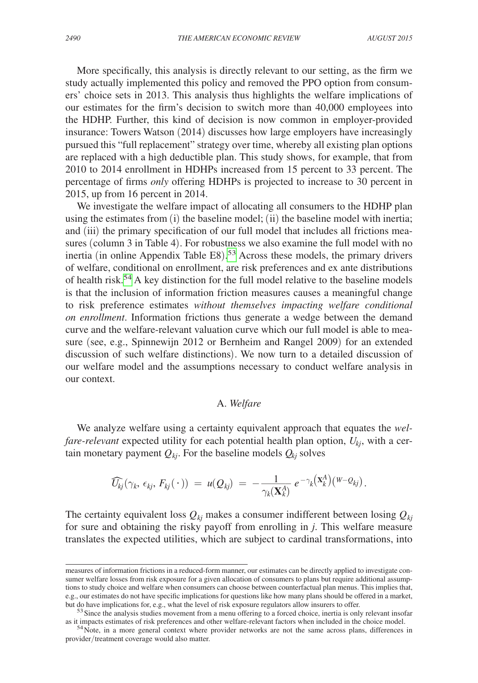More specifically, this analysis is directly relevant to our setting, as the firm we study actually implemented this policy and removed the PPO option from consumers' choice sets in 2013. This analysis thus highlights the welfare implications of our estimates for the firm's decision to switch more than 40,000 employees into the HDHP. Further, this kind of decision is now common in employer-provided insurance: Towers Watson (2014) discusses how large employers have increasingly pursued this "full replacement" strategy over time, whereby all existing plan options are replaced with a high deductible plan. This study shows, for example, that from 2010 to 2014 enrollment in HDHPs increased from 15 percent to 33 percent. The percentage of firms *only* offering HDHPs is projected to increase to 30 percent in 2015, up from 16 percent in 2014.

We investigate the welfare impact of allocating all consumers to the HDHP plan using the estimates from  $(i)$  the baseline model;  $(ii)$  the baseline model with inertia; and (iii) the primary specification of our full model that includes all frictions measures (column 3 in Table 4). For robustness we also examine the full model with no inertia (in online Appendix Table E8). [53](#page-41-0) Across these models, the primary drivers of welfare, conditional on enrollment, are risk preferences and ex ante distributions of health risk[.54](#page-41-1) A key distinction for the full model relative to the baseline models is that the inclusion of information friction measures causes a meaningful change to risk preference estimates *without themselves impacting welfare conditional on enrollment*. Information frictions thus generate a wedge between the demand curve and the welfare-relevant valuation curve which our full model is able to measure (see, e.g., Spinnewijn 2012 or Bernheim and Rangel 2009) for an extended discussion of such welfare distinctions). We now turn to a detailed discussion of our welfare model and the assumptions necessary to conduct welfare analysis in our context.

## A. *Welfare*

We analyze welfare using a certainty equivalent approach that equates the *welfare-relevant* expected utility for each potential health plan option, *Ukj*, with a certain monetary payment  $Q_{ki}$ . For the baseline models  $Q_{ki}$  solves

$$
\widehat{U_{kj}}(\gamma_k,\,\epsilon_{kj},\,F_{kj}(\,\cdot\,))\;=\;u(Q_{kj})\;=\;-\frac{1}{\gamma_k(\mathbf{X}_k^A)}\;e^{-\gamma_k(\mathbf{X}_k^A)}\big(\mathbf{W} - Q_{kj}\big)\,.
$$

The certainty equivalent loss  $Q_{ki}$  makes a consumer indifferent between losing  $Q_{ki}$ for sure and obtaining the risky payoff from enrolling in *j*. This welfare measure translates the expected utilities, which are subject to cardinal transformations, into

measures of information frictions in a reduced-form manner, our estimates can be directly applied to investigate consumer welfare losses from risk exposure for a given allocation of consumers to plans but require additional assumptions to study choice and welfare when consumers can choose between counterfactual plan menus. This implies that, e.g., our estimates do not have specific implications for questions like how many plans should be offered in a market,

<span id="page-41-0"></span>but do have implications for, e.g., what the level of risk exposure regulators allow insurers to offer.<br><sup>53</sup> Since the analysis studies movement from a menu offering to a forced choice, inertia is only relevant insofar<br>as

<span id="page-41-1"></span> $54$  Note, in a more general context where provider networks are not the same across plans, differences in provider/treatment coverage would also matter.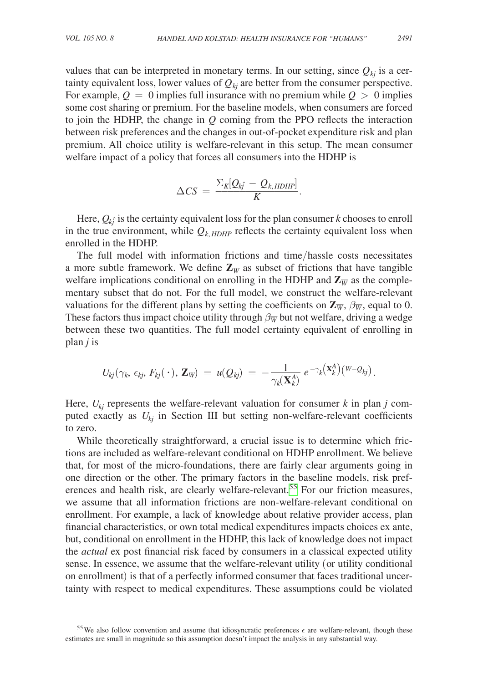values that can be interpreted in monetary terms. In our setting, since  $Q_{ki}$  is a certainty equivalent loss, lower values of  $Q_{ki}$  are better from the consumer perspective. For example,  $Q = 0$  implies full insurance with no premium while  $Q > 0$  implies some cost sharing or premium. For the baseline models, when consumers are forced to join the HDHP, the change in *Q* coming from the PPO reflects the interaction between risk preferences and the changes in out-of-pocket expenditure risk and plan premium. All choice utility is welfare-relevant in this setup. The mean consumer welfare impact of a policy that forces all consumers into the HDHP is

$$
\Delta CS = \frac{\sum_{K} [Q_{kj} - Q_{k, HDHP}]}{K}.
$$

Here,  $Q_{k\hat{j}}$  is the certainty equivalent loss for the plan consumer  $k$  chooses to enroll in the true environment, while  $Q_{k, HDHP}$  reflects the certainty equivalent loss when enrolled in the HDHP.

The full model with information frictions and time/hassle costs necessitates a more subtle framework. We define  $\mathbb{Z}_W$  as subset of frictions that have tangible welfare implications conditional on enrolling in the HDHP and  $\mathbb{Z}_{\overline{W}}$  as the complementary subset that do not. For the full model, we construct the welfare-relevant valuations for the different plans by setting the coefficients on  $\mathbb{Z}_{\overline{W}}$ ,  $\beta_{\overline{W}}$ , equal to 0. These factors thus impact choice utility through  $\beta_{\overline{W}}$  but not welfare, driving a wedge between these two quantities. The full model certainty equivalent of enrolling in plan *j* is

$$
U_{kj}(\gamma_k,\,\epsilon_{kj},\,F_{kj}(\,\cdot\,),\,\mathbf{Z}_W) = u(Q_{kj}) = -\frac{1}{\gamma_k(\mathbf{X}_k^A)}\,e^{-\gamma_k(\mathbf{X}_k^A)(W-Q_{kj})}.
$$

Here,  $U_{kj}$  represents the welfare-relevant valuation for consumer *k* in plan *j* computed exactly as  $U_{ki}$  in Section III but setting non-welfare-relevant coefficients to zero.

While theoretically straightforward, a crucial issue is to determine which frictions are included as welfare-relevant conditional on HDHP enrollment. We believe that, for most of the micro-foundations, there are fairly clear arguments going in one direction or the other. The primary factors in the baseline models, risk preferences and health risk, are clearly welfare-relevant.<sup>55</sup> For our friction measures, we assume that all information frictions are non-welfare-relevant conditional on enrollment. For example, a lack of knowledge about relative provider access, plan financial characteristics, or own total medical expenditures impacts choices ex ante, but, conditional on enrollment in the HDHP, this lack of knowledge does not impact the *actual* ex post financial risk faced by consumers in a classical expected utility sense. In essence, we assume that the welfare-relevant utility (or utility conditional on enrollment) is that of a perfectly informed consumer that faces traditional uncertainty with respect to medical expenditures. These assumptions could be violated

<span id="page-42-0"></span><sup>55</sup> We also follow convention and assume that idiosyncratic preferences  $\epsilon$  are welfare-relevant, though these estimates are small in magnitude so this assumption doesn't impact the analysis in any substantial way.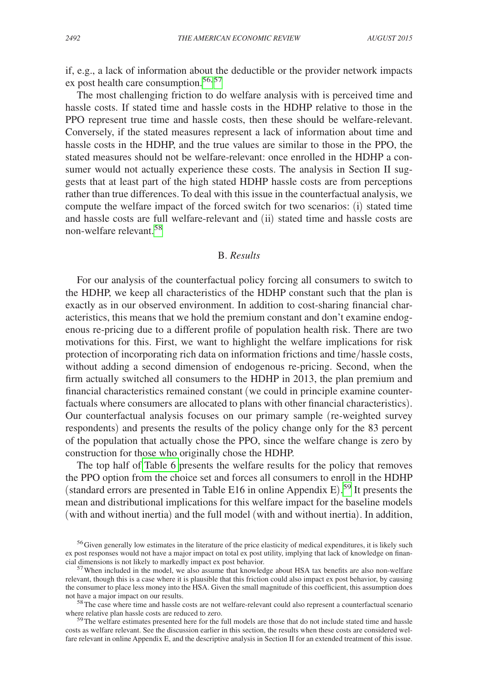if, e.g., a lack of information about the deductible or the provider network impacts ex post health care consumption.<sup>56,[57](#page-43-1)</sup>

The most challenging friction to do welfare analysis with is perceived time and hassle costs. If stated time and hassle costs in the HDHP relative to those in the PPO represent true time and hassle costs, then these should be welfare-relevant. Conversely, if the stated measures represent a lack of information about time and hassle costs in the HDHP, and the true values are similar to those in the PPO, the stated measures should not be welfare-relevant: once enrolled in the HDHP a consumer would not actually experience these costs. The analysis in Section II suggests that at least part of the high stated HDHP hassle costs are from perceptions rather than true differences. To deal with this issue in the counterfactual analysis, we compute the welfare impact of the forced switch for two scenarios: (i) stated time and hassle costs are full welfare-relevant and (ii) stated time and hassle costs are non-welfare relevant <sup>[58](#page-43-2)</sup>

#### B. *Results*

For our analysis of the counterfactual policy forcing all consumers to switch to the HDHP, we keep all characteristics of the HDHP constant such that the plan is exactly as in our observed environment. In addition to cost-sharing financial characteristics, this means that we hold the premium constant and don't examine endogenous re-pricing due to a different profile of population health risk. There are two motivations for this. First, we want to highlight the welfare implications for risk protection of incorporating rich data on information frictions and time/hassle costs, without adding a second dimension of endogenous re-pricing. Second, when the firm actually switched all consumers to the HDHP in 2013, the plan premium and financial characteristics remained constant (we could in principle examine counterfactuals where consumers are allocated to plans with other financial characteristics). Our counterfactual analysis focuses on our primary sample (re-weighted survey respondents) and presents the results of the policy change only for the 83 percent of the population that actually chose the PPO, since the welfare change is zero by construction for those who originally chose the HDHP.

The top half of [Table 6](#page-44-0) presents the welfare results for the policy that removes the PPO option from the choice set and forces all consumers to enroll in the HDHP (standard errors are presented in Table E16 in online Appendix E). [59](#page-43-3) It presents the mean and distributional implications for this welfare impact for the baseline models (with and without inertia) and the full model (with and without inertia). In addition,

<span id="page-43-3"></span><sup>59</sup>The welfare estimates presented here for the full models are those that do not include stated time and hassle costs as welfare relevant. See the discussion earlier in this section, the results when these costs are considered welfare relevant in online Appendix E, and the descriptive analysis in Section II for an extended treatment of this issue.

<span id="page-43-0"></span><sup>&</sup>lt;sup>56</sup>Given generally low estimates in the literature of the price elasticity of medical expenditures, it is likely such ex post responses would not have a major impact on total ex post utility, implying that lack of knowledge on finan-<br>cial dimensions is not likely to markedly impact ex post behavior.

<span id="page-43-1"></span> $57$  When included in the model, we also assume that knowledge about HSA tax benefits are also non-welfare relevant, though this is a case where it is plausible that this friction could also impact ex post behavior, by causing the consumer to place less money into the HSA. Given the small magnitude of this coefficient, this assumption does

<span id="page-43-2"></span>not have a major impact on our results.<br><sup>58</sup>The case where time and hassle costs are not welfare-relevant could also represent a counterfactual scenario<br>where relative plan hassle costs are reduced to zero.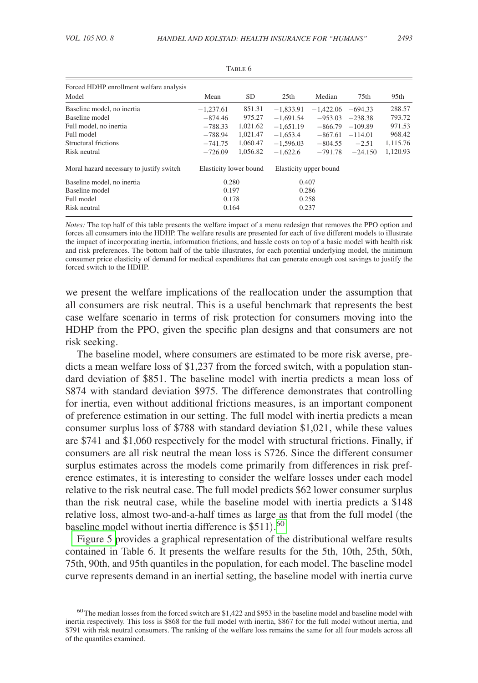<span id="page-44-0"></span>

| Forced HDHP enrollment welfare analysis<br>Model | Mean                   | <b>SD</b> | 25 <sub>th</sub> | Median                 | 75 <sub>th</sub> | 95 <sub>th</sub> |
|--------------------------------------------------|------------------------|-----------|------------------|------------------------|------------------|------------------|
| Baseline model, no inertia                       | $-1,237.61$            | 851.31    | $-1,833.91$      | $-1.422.06$            | $-694.33$        | 288.57           |
| Baseline model                                   | $-874.46$              | 975.27    | $-1.691.54$      | $-953.03$              | $-238.38$        | 793.72           |
| Full model, no inertia                           | $-788.33$              | 1.021.62  | $-1.651.19$      | $-866.79$              | $-109.89$        | 971.53           |
| Full model                                       | $-788.94$              | 1.021.47  | $-1.653.4$       | $-867.61$              | $-114.01$        | 968.42           |
| Structural frictions                             | $-741.75$              | 1,060.47  | $-1.596.03$      | $-804.55$              | $-2.51$          | 1,115.76         |
| Risk neutral                                     | $-726.09$              | 1.056.82  | $-1.622.6$       | $-791.78$              | $-24.150$        | 1,120.93         |
| Moral hazard necessary to justify switch         | Elasticity lower bound |           |                  | Elasticity upper bound |                  |                  |
| Baseline model, no inertia                       | 0.280                  |           | 0.407            |                        |                  |                  |
| Baseline model                                   | 0.197                  |           | 0.286            |                        |                  |                  |
| Full model                                       | 0.178                  |           | 0.258            |                        |                  |                  |
| Risk neutral                                     | 0.164                  |           |                  | 0.237                  |                  |                  |

TABLE 6

*Notes:* The top half of this table presents the welfare impact of a menu redesign that removes the PPO option and forces all consumers into the HDHP. The welfare results are presented for each of five different models to illustrate the impact of incorporating inertia, information frictions, and hassle costs on top of a basic model with health risk and risk preferences. The bottom half of the table illustrates, for each potential underlying model, the minimum consumer price elasticity of demand for medical expenditures that can generate enough cost savings to justify the forced switch to the HDHP.

we present the welfare implications of the reallocation under the assumption that all consumers are risk neutral. This is a useful benchmark that represents the best case welfare scenario in terms of risk protection for consumers moving into the HDHP from the PPO, given the specific plan designs and that consumers are not risk seeking.

The baseline model, where consumers are estimated to be more risk averse, predicts a mean welfare loss of \$1,237 from the forced switch, with a population standard deviation of \$851. The baseline model with inertia predicts a mean loss of \$874 with standard deviation \$975. The difference demonstrates that controlling for inertia, even without additional frictions measures, is an important component of preference estimation in our setting. The full model with inertia predicts a mean consumer surplus loss of \$788 with standard deviation \$1,021, while these values are \$741 and \$1,060 respectively for the model with structural frictions. Finally, if consumers are all risk neutral the mean loss is \$726. Since the different consumer surplus estimates across the models come primarily from differences in risk preference estimates, it is interesting to consider the welfare losses under each model relative to the risk neutral case. The full model predicts \$62 lower consumer surplus than the risk neutral case, while the baseline model with inertia predicts a \$148 relative loss, almost two-and-a-half times as large as that from the full model (the baseline model without inertia difference is  $$511$ ).<sup>[60](#page-44-1)</sup>

[Figure 5 p](#page-45-0)rovides a graphical representation of the distributional welfare results contained in Table 6. It presents the welfare results for the 5th, 10th, 25th, 50th, 75th, 90th, and 95th quantiles in the population, for each model. The baseline model curve represents demand in an inertial setting, the baseline model with inertia curve

<span id="page-44-1"></span><sup>&</sup>lt;sup>60</sup>The median losses from the forced switch are \$1,422 and \$953 in the baseline model and baseline model with inertia respectively. This loss is \$868 for the full model with inertia, \$867 for the full model without inertia, and \$791 with risk neutral consumers. The ranking of the welfare loss remains the same for all four models across all of the quantiles examined.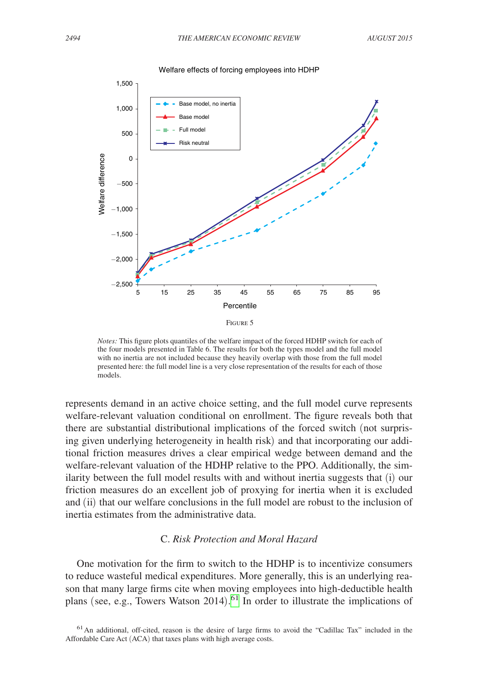<span id="page-45-0"></span>

*Notes:* This figure plots quantiles of the welfare impact of the forced HDHP switch for each of the four models presented in Table 6. The results for both the types model and the full model with no inertia are not included because they heavily overlap with those from the full model presented here: the full model line is a very close representation of the results for each of those models.

represents demand in an active choice setting, and the full model curve represents welfare-relevant valuation conditional on enrollment. The figure reveals both that there are substantial distributional implications of the forced switch (not surprising given underlying heterogeneity in health risk) and that incorporating our additional friction measures drives a clear empirical wedge between demand and the welfare-relevant valuation of the HDHP relative to the PPO. Additionally, the similarity between the full model results with and without inertia suggests that (i) our friction measures do an excellent job of proxying for inertia when it is excluded and (ii) that our welfare conclusions in the full model are robust to the inclusion of inertia estimates from the administrative data.

#### C. *Risk Protection and Moral Hazard*

One motivation for the firm to switch to the HDHP is to incentivize consumers to reduce wasteful medical expenditures. More generally, this is an underlying reason that many large firms cite when moving employees into high-deductible health plans (see, e.g., Towers Watson 2014). [61](#page-45-1) In order to illustrate the implications of

<span id="page-45-1"></span> $61$ An additional, off-cited, reason is the desire of large firms to avoid the "Cadillac Tax" included in the Affordable Care Act (ACA) that taxes plans with high average costs.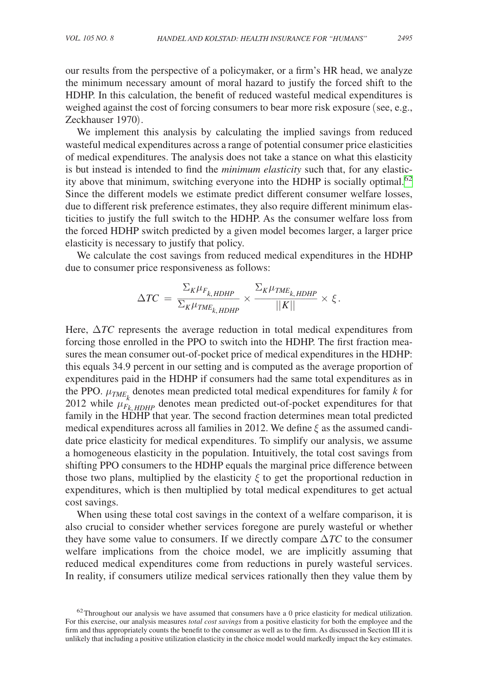our results from the perspective of a policymaker, or a firm's HR head, we analyze the minimum necessary amount of moral hazard to justify the forced shift to the HDHP. In this calculation, the benefit of reduced wasteful medical expenditures is weighed against the cost of forcing consumers to bear more risk exposure (see, e.g., Zeckhauser 1970).

We implement this analysis by calculating the implied savings from reduced wasteful medical expenditures across a range of potential consumer price elasticities of medical expenditures. The analysis does not take a stance on what this elasticity is but instead is intended to find the *minimum elasticity* such that, for any elasticity above that minimum, switching everyone into the HDHP is socially optimal.<sup>62</sup> Since the different models we estimate predict different consumer welfare losses, due to different risk preference estimates, they also require different minimum elasticities to justify the full switch to the HDHP. As the consumer welfare loss from the forced HDHP switch predicted by a given model becomes larger, a larger price elasticity is necessary to justify that policy.

We calculate the cost savings from reduced medical expenditures in the HDHP due to consumer price responsiveness as follows:

$$
\Delta TC = \frac{\Sigma_K \mu_{F_{k, HDHP}}}{\Sigma_K \mu_{TME_{k, HDHP}}} \times \frac{\Sigma_K \mu_{TME_{k, HDHP}}}{||K||} \times \xi.
$$

Here,  $\Delta TC$  represents the average reduction in total medical expenditures from forcing those enrolled in the PPO to switch into the HDHP. The first fraction measures the mean consumer out-of-pocket price of medical expenditures in the HDHP: this equals 34.9 percent in our setting and is computed as the average proportion of expenditures paid in the HDHP if consumers had the same total expenditures as in the PPO.  $\mu_{TME_k}$  denotes mean predicted total medical expenditures for family *k* for 2012 while  $\mu_{F_k, HDHP}^{\kappa}$  denotes mean predicted out-of-pocket expenditures for that family in the HDHP that year. The second fraction determines mean total predicted medical expenditures across all families in 2012. We define  $\xi$  as the assumed candidate price elasticity for medical expenditures. To simplify our analysis, we assume a homogeneous elasticity in the population. Intuitively, the total cost savings from shifting PPO consumers to the HDHP equals the marginal price difference between those two plans, multiplied by the elasticity  $\xi$  to get the proportional reduction in expenditures, which is then multiplied by total medical expenditures to get actual cost savings.

When using these total cost savings in the context of a welfare comparison, it is also crucial to consider whether services foregone are purely wasteful or whether they have some value to consumers. If we directly compare Δ*TC* to the consumer welfare implications from the choice model, we are implicitly assuming that reduced medical expenditures come from reductions in purely wasteful services. In reality, if consumers utilize medical services rationally then they value them by

<span id="page-46-0"></span> $62$ Throughout our analysis we have assumed that consumers have a 0 price elasticity for medical utilization. For this exercise, our analysis measures *total cost savings* from a positive elasticity for both the employee and the firm and thus appropriately counts the benefit to the consumer as well as to the firm. As discussed in Section III it is unlikely that including a positive utilization elasticity in the choice model would markedly impact the key estimates.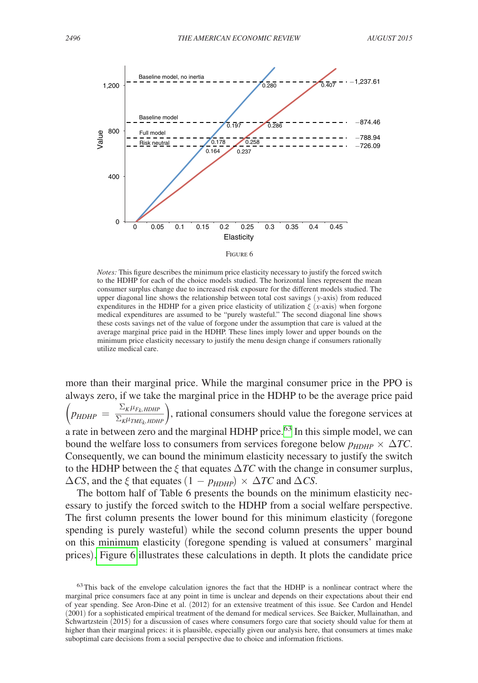

*Notes:* This figure describes the minimum price elasticity necessary to justify the forced switch to the HDHP for each of the choice models studied. The horizontal lines represent the mean consumer surplus change due to increased risk exposure for the different models studied. The upper diagonal line shows the relationship between total cost savings ( *y*-axis) from reduced expenditures in the HDHP for a given price elasticity of utilization  $\xi$  (*x*-axis) when forgone medical expenditures are assumed to be "purely wasteful." The second diagonal line shows these costs savings net of the value of forgone under the assumption that care is valued at the average marginal price paid in the HDHP. These lines imply lower and upper bounds on the minimum price elasticity necessary to justify the menu design change if consumers rationally utilize medical care.

more than their marginal price. While the marginal consumer price in the PPO is always zero, if we take the marginal price in the HDHP to be the average price paid  $\left(\textit{p}_{\textit{HDHP}}\right) = \frac{\sum_{\mathit{K}}\mu_{F_{\mathit{K}},\textit{HDHP}}}{\sum_{\mathit{K}}\mu_{\textit{TME}_\mathit{L},\textit{HDHP}}}$  $\frac{\Sigma_{K}\mu_{T_{K}}H_{DHP}}{\Sigma_{K}\mu_{TME_{K}}H_{DHP}}$ , rational consumers should value the foregone services at a rate in between zero and the marginal HDHP price.<sup>63</sup> In this simple model, we can bound the welfare loss to consumers from services foregone below  $p_{HDHP} \times \Delta TC$ . Consequently, we can bound the minimum elasticity necessary to justify the switch to the HDHP between the  $\xi$  that equates  $\Delta TC$  with the change in consumer surplus,  $\Delta CS$ , and the  $\xi$  that equates  $(1 - p_{HDHP}) \times \Delta TC$  and  $\Delta CS$ .

The bottom half of Table 6 presents the bounds on the minimum elasticity necessary to justify the forced switch to the HDHP from a social welfare perspective. The first column presents the lower bound for this minimum elasticity (foregone spending is purely wasteful) while the second column presents the upper bound on this minimum elasticity (foregone spending is valued at consumers' marginal prices). Figure 6 illustrates these calculations in depth. It plots the candidate price

<span id="page-47-0"></span><sup>&</sup>lt;sup>63</sup>This back of the envelope calculation ignores the fact that the HDHP is a nonlinear contract where the marginal price consumers face at any point in time is unclear and depends on their expectations about their end of year spending. See Aron-Dine et al. (2012) for an extensive treatment of this issue. See Cardon and Hendel (2001) for a sophisticated empirical treatment of the demand for medical services. See Baicker, Mullainathan, and Schwartzstein (2015) for a discussion of cases where consumers forgo care that society should value for them at higher than their marginal prices: it is plausible, especially given our analysis here, that consumers at times make suboptimal care decisions from a social perspective due to choice and information frictions.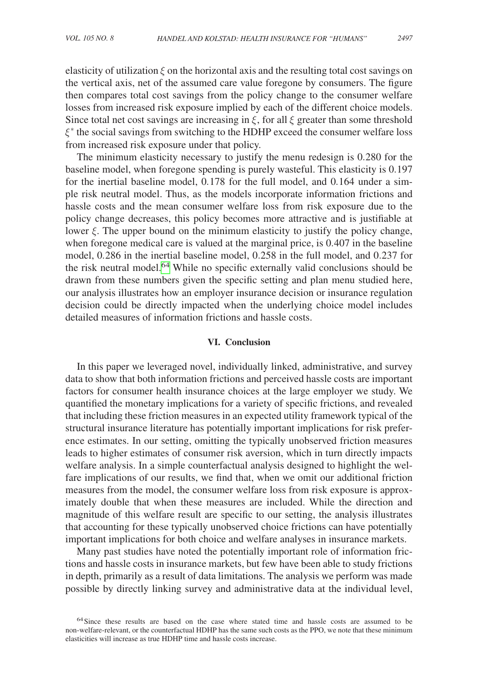elasticity of utilization  $\xi$  on the horizontal axis and the resulting total cost savings on the vertical axis, net of the assumed care value foregone by consumers. The figure then compares total cost savings from the policy change to the consumer welfare losses from increased risk exposure implied by each of the different choice models. Since total net cost savings are increasing in  $\xi$ , for all  $\xi$  greater than some threshold ξ∗ the social savings from switching to the HDHP exceed the consumer welfare loss from increased risk exposure under that policy.

The minimum elasticity necessary to justify the menu redesign is 0.280 for the baseline model, when foregone spending is purely wasteful. This elasticity is 0.197 for the inertial baseline model, 0.178 for the full model, and 0.164 under a simple risk neutral model. Thus, as the models incorporate information frictions and hassle costs and the mean consumer welfare loss from risk exposure due to the policy change decreases, this policy becomes more attractive and is justifiable at lower  $\xi$ . The upper bound on the minimum elasticity to justify the policy change, when foregone medical care is valued at the marginal price, is 0.407 in the baseline model, 0.286 in the inertial baseline model, 0.258 in the full model, and 0.237 for the risk neutral model.<sup>64</sup> While no specific externally valid conclusions should be drawn from these numbers given the specific setting and plan menu studied here, our analysis illustrates how an employer insurance decision or insurance regulation decision could be directly impacted when the underlying choice model includes detailed measures of information frictions and hassle costs.

#### **VI. Conclusion**

In this paper we leveraged novel, individually linked, administrative, and survey data to show that both information frictions and perceived hassle costs are important factors for consumer health insurance choices at the large employer we study. We quantified the monetary implications for a variety of specific frictions, and revealed that including these friction measures in an expected utility framework typical of the structural insurance literature has potentially important implications for risk preference estimates. In our setting, omitting the typically unobserved friction measures leads to higher estimates of consumer risk aversion, which in turn directly impacts welfare analysis. In a simple counterfactual analysis designed to highlight the welfare implications of our results, we find that, when we omit our additional friction measures from the model, the consumer welfare loss from risk exposure is approximately double that when these measures are included. While the direction and magnitude of this welfare result are specific to our setting, the analysis illustrates that accounting for these typically unobserved choice frictions can have potentially important implications for both choice and welfare analyses in insurance markets.

Many past studies have noted the potentially important role of information frictions and hassle costs in insurance markets, but few have been able to study frictions in depth, primarily as a result of data limitations. The analysis we perform was made possible by directly linking survey and administrative data at the individual level,

<span id="page-48-0"></span><sup>&</sup>lt;sup>64</sup>Since these results are based on the case where stated time and hassle costs are assumed to be non-welfare-relevant, or the counterfactual HDHP has the same such costs as the PPO, we note that these minimum elasticities will increase as true HDHP time and hassle costs increase.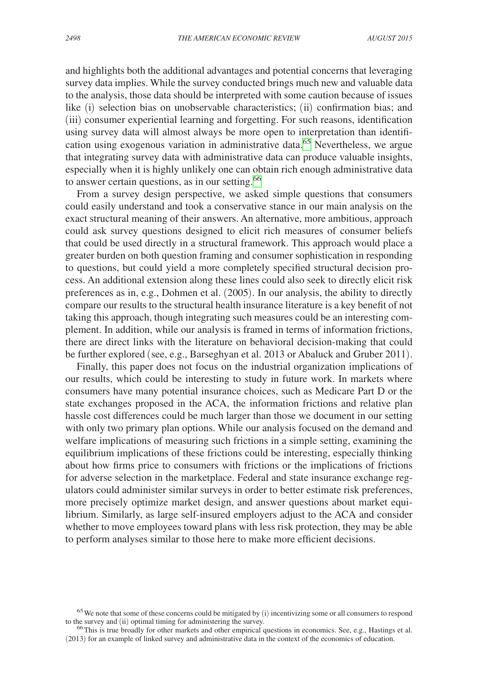and highlights both the additional advantages and potential concerns that leveraging survey data implies. While the survey conducted brings much new and valuable data to the analysis, those data should be interpreted with some caution because of issues like (i) selection bias on unobservable characteristics; (ii) confirmation bias; and (iii) consumer experiential learning and forgetting. For such reasons, identification using survey data will almost always be more open to interpretation than identification using exogenous variation in administrative data[.65](#page-49-0) Nevertheless, we argue that integrating survey data with administrative data can produce valuable insights, especially when it is highly unlikely one can obtain rich enough administrative data to answer certain questions, as in our setting.<sup>[66](#page-49-1)</sup>

From a survey design perspective, we asked simple questions that consumers could easily understand and took a conservative stance in our main analysis on the exact structural meaning of their answers. An alternative, more ambitious, approach could ask survey questions designed to elicit rich measures of consumer beliefs that could be used directly in a structural framework. This approach would place a greater burden on both question framing and consumer sophistication in responding to questions, but could yield a more completely specified structural decision process. An additional extension along these lines could also seek to directly elicit risk preferences as in, e.g., Dohmen et al. (2005). In our analysis, the ability to directly compare our results to the structural health insurance literature is a key benefit of not taking this approach, though integrating such measures could be an interesting complement. In addition, while our analysis is framed in terms of information frictions, there are direct links with the literature on behavioral decision-making that could be further explored (see, e.g., Barseghyan et al. 2013 or Abaluck and Gruber 2011).

Finally, this paper does not focus on the industrial organization implications of our results, which could be interesting to study in future work. In markets where consumers have many potential insurance choices, such as Medicare Part D or the state exchanges proposed in the ACA, the information frictions and relative plan hassle cost differences could be much larger than those we document in our setting with only two primary plan options. While our analysis focused on the demand and welfare implications of measuring such frictions in a simple setting, examining the equilibrium implications of these frictions could be interesting, especially thinking about how firms price to consumers with frictions or the implications of frictions for adverse selection in the marketplace. Federal and state insurance exchange regulators could administer similar surveys in order to better estimate risk preferences, more precisely optimize market design, and answer questions about market equilibrium. Similarly, as large self-insured employers adjust to the ACA and consider whether to move employees toward plans with less risk protection, they may be able to perform analyses similar to those here to make more efficient decisions.

<span id="page-49-0"></span><sup>&</sup>lt;sup>65</sup>We note that some of these concerns could be mitigated by (i) incentivizing some or all consumers to respond to the survey and (ii) optimal timing for administering the survey.

<span id="page-49-1"></span> $66$ This is true broadly for other markets and other empirical questions in economics. See, e.g., Hastings et al. (2013) for an example of linked survey and administrative data in the context of the economics of education.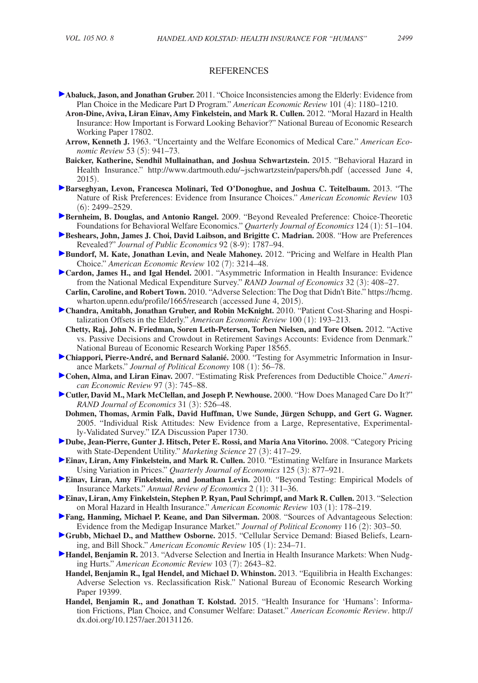#### REFERENCES

- **Abaluck, Jason, and Jonathan Gruber.** 2011. "Choice Inconsistencies among the Elderly: Evidence from Plan Choice in the Medicare Part D Program." *American Economic Review* 101 (4): 1180–1210.
	- **Aron-Dine, Aviva, Liran Einav, Amy Finkelstein, and Mark R. Cullen.** 2012. "Moral Hazard in Health Insurance: How Important is Forward Looking Behavior?" National Bureau of Economic Research Working Paper 17802.
	- **Arrow, Kenneth J.** 1963. "Uncertainty and the Welfare Economics of Medical Care." *American Economic Review* 53 (5): 941–73.
	- **Baicker, Katherine, Sendhil Mullainathan, and Joshua Schwartzstein.** 2015. "Behavioral Hazard in Health Insurance." http://www.dartmouth.edu/~jschwartzstein/papers/bh.pdf (accessed June 4, 2015).
- **Barseghyan, Levon, Francesca Molinari, Ted O'Donoghue, and Joshua C. Teitelbaum.** 2013. "The Nature of Risk Preferences: Evidence from Insurance Choices." *American Economic Review* 103 (6): 2499–2529.
- **Bernheim, B. Douglas, and Antonio Rangel.** 2009. "Beyond Revealed Preference: Choice-Theoretic Foundations for Behavioral Welfare Economics." *Quarterly Journal of Economics* 124 (1): 51–104.
- **Beshears, John, James J. Choi, David Laibson, and Brigitte C. Madrian.** 2008. "How are Preferences Revealed?" *Journal of Public Economics* 92 (8-9): 1787–94.
- **Bundorf, M. Kate, Jonathan Levin, and Neale Mahoney.** 2012. "Pricing and Welfare in Health Plan Choice." *American Economic Review* 102 (7): 3214–48.
- **Cardon, James H., and Igal Hendel.** 2001. "Asymmetric Information in Health Insurance: Evidence from the National Medical Expenditure Survey." *RAND Journal of Economics* 32 (3): 408–27.
- **Carlin, Caroline, and Robert Town.** [2010. "Adverse Selection: The Dog that Didn't Bite." https://hcmg.](https://hcmg.wharton.upenn.edu/profile/1665/research) wharton.upenn.edu/profile/1665/research (accessed June 4, 2015).
- **Chandra, Amitabh, Jonathan Gruber, and Robin McKnight.** 2010. "Patient Cost-Sharing and Hospitalization Offsets in the Elderly." *American Economic Review* 100 (1): 193–213.
- **Chetty, Raj, John N. Friedman, Soren Leth-Petersen, Torben Nielsen, and Tore Olsen.** 2012. "Active vs. Passive Decisions and Crowdout in Retirement Savings Accounts: Evidence from Denmark." National Bureau of Economic Research Working Paper 18565.
- **Chiappori, Pierre-André, and Bernard Salanié.** 2000. "Testing for Asymmetric Information in Insurance Markets." *Journal of Political Economy* 108 (1): 56–78.
- **Cohen, Alma, and Liran Einav.** 2007. "Estimating Risk Preferences from Deductible Choice." *American Economic Review* 97 (3): 745–88.
- **Cutler, David M., Mark McClellan, and Joseph P. Newhouse.** 2000. "How Does Managed Care Do It?" *RAND Journal of Economics* 31 (3): 526–48.
	- **Dohmen, Thomas, Armin Falk, David Huffman, Uwe Sunde, Jürgen Schupp, and Gert G. Wagner.**  2005. "Individual Risk Attitudes: New Evidence from a Large, Representative, Experimentally-Validated Survey." IZA Discussion Paper 1730.
- **Dube, Jean-Pierre, Gunter J. Hitsch, Peter E. Rossi, and Maria Ana Vitorino.** 2008. "Category Pricing with State-Dependent Utility." *Marketing Science* 27 (3): 417–29.
- **Einav, Liran, Amy Finkelstein, and Mark R. Cullen.** 2010. "Estimating Welfare in Insurance Markets Using Variation in Prices." *Quarterly Journal of Economics* 125 (3): 877–921.
- **Einav, Liran, Amy Finkelstein, and Jonathan Levin.** 2010. "Beyond Testing: Empirical Models of Insurance Markets." *Annual Review of Economics* 2 (1): 311–36.
- **Einav, Liran, Amy Finkelstein, Stephen P. Ryan, Paul Schrimpf, and Mark R. Cullen. 2013. "Selection"** on Moral Hazard in Health Insurance." *American Economic Review* 103 (1): 178–219.
- **Fang, Hanming, Michael P. Keane, and Dan Silverman.** 2008. "Sources of Advantageous Selection: Evidence from the Medigap Insurance Market." *Journal of Political Economy* 116 (2): 303–50.
- **Grubb, Michael D., and Matthew Osborne.** 2015. "Cellular Service Demand: Biased Beliefs, Learning, and Bill Shock." *American Economic Review* 105 (1): 234–71.
- **Handel, Benjamin R.** 2013. "Adverse Selection and Inertia in Health Insurance Markets: When Nudging Hurts." *American Economic Review* 103 (7): 2643–82.
	- **Handel, Benjamin R., Igal Hendel, and Michael D. Whinston.** 2013. "Equilibria in Health Exchanges: Adverse Selection vs. Reclassification Risk." National Bureau of Economic Research Working Paper 19399.
	- **Handel, Benjamin R., and Jonathan T. Kolstad.** 2015. "Health Insurance for 'Humans': Information Frictions, Plan Choice, and Consumer Welfare: Dataset." *American Economic Review*. http:// dx.doi.org/10.1257/aer.20131126.